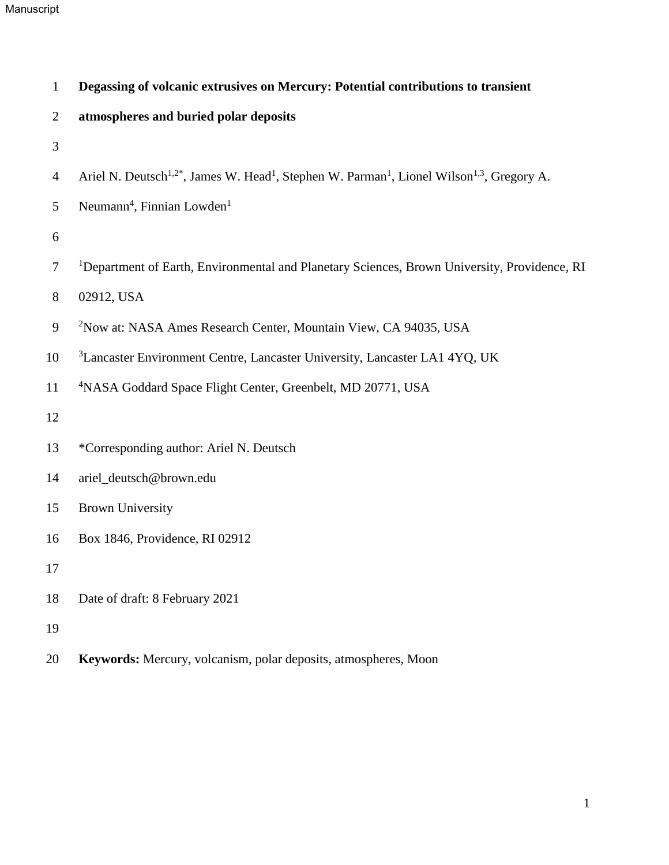## Manuscript

| $\mathbf{1}$   | Degassing of volcanic extrusives on Mercury: Potential contributions to transient                                                          |
|----------------|--------------------------------------------------------------------------------------------------------------------------------------------|
| 2              | atmospheres and buried polar deposits                                                                                                      |
| 3              |                                                                                                                                            |
| $\overline{4}$ | Ariel N. Deutsch <sup>1,2*</sup> , James W. Head <sup>1</sup> , Stephen W. Parman <sup>1</sup> , Lionel Wilson <sup>1,3</sup> , Gregory A. |
| 5              | Neumann <sup>4</sup> , Finnian Lowden <sup>1</sup>                                                                                         |
| 6              |                                                                                                                                            |
| $\overline{7}$ | <sup>1</sup> Department of Earth, Environmental and Planetary Sciences, Brown University, Providence, RI                                   |
| $8\phantom{1}$ | 02912, USA                                                                                                                                 |
| $\mathbf{9}$   | <sup>2</sup> Now at: NASA Ames Research Center, Mountain View, CA 94035, USA                                                               |
| 10             | <sup>3</sup> Lancaster Environment Centre, Lancaster University, Lancaster LA1 4YQ, UK                                                     |
| 11             | <sup>4</sup> NASA Goddard Space Flight Center, Greenbelt, MD 20771, USA                                                                    |
| 12             |                                                                                                                                            |
| 13             | *Corresponding author: Ariel N. Deutsch                                                                                                    |
| 14             | ariel_deutsch@brown.edu                                                                                                                    |
| 15             | <b>Brown University</b>                                                                                                                    |
| 16             | Box 1846, Providence, RI 02912                                                                                                             |
| 17             |                                                                                                                                            |
| 18             | Date of draft: 8 February 2021                                                                                                             |
| 19             |                                                                                                                                            |
| 20             | Keywords: Mercury, volcanism, polar deposits, atmospheres, Moon                                                                            |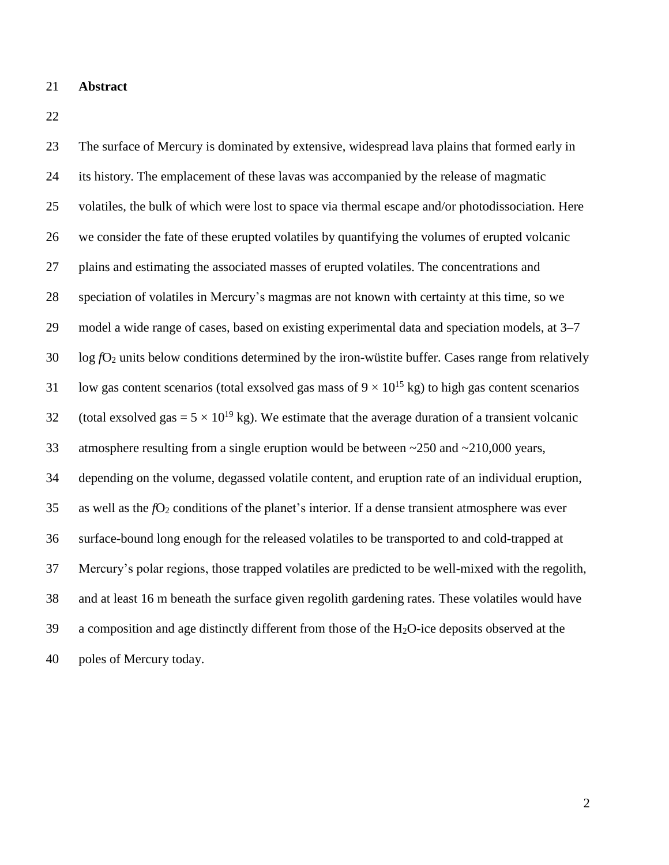#### **Abstract**

 The surface of Mercury is dominated by extensive, widespread lava plains that formed early in its history. The emplacement of these lavas was accompanied by the release of magmatic volatiles, the bulk of which were lost to space via thermal escape and/or photodissociation. Here we consider the fate of these erupted volatiles by quantifying the volumes of erupted volcanic plains and estimating the associated masses of erupted volatiles. The concentrations and speciation of volatiles in Mercury's magmas are not known with certainty at this time, so we model a wide range of cases, based on existing experimental data and speciation models, at 3–7 log  $fO<sub>2</sub>$  units below conditions determined by the iron-wüstite buffer. Cases range from relatively 31 low gas content scenarios (total exsolved gas mass of  $9 \times 10^{15}$  kg) to high gas content scenarios 32 (total exsolved gas =  $5 \times 10^{19}$  kg). We estimate that the average duration of a transient volcanic atmosphere resulting from a single eruption would be between ~250 and ~210,000 years, depending on the volume, degassed volatile content, and eruption rate of an individual eruption, 35 as well as the  $fO_2$  conditions of the planet's interior. If a dense transient atmosphere was ever surface-bound long enough for the released volatiles to be transported to and cold-trapped at Mercury's polar regions, those trapped volatiles are predicted to be well-mixed with the regolith, and at least 16 m beneath the surface given regolith gardening rates. These volatiles would have a composition and age distinctly different from those of the H<sub>2</sub>O-ice deposits observed at the poles of Mercury today.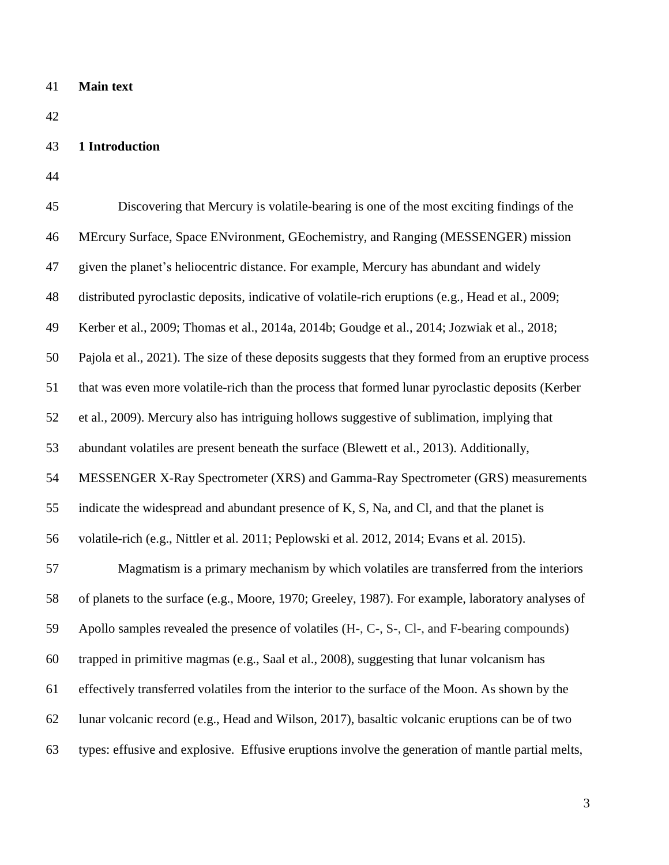**Main text**

# **1 Introduction**

| 45 | Discovering that Mercury is volatile-bearing is one of the most exciting findings of the            |
|----|-----------------------------------------------------------------------------------------------------|
| 46 | MErcury Surface, Space ENvironment, GEochemistry, and Ranging (MESSENGER) mission                   |
| 47 | given the planet's heliocentric distance. For example, Mercury has abundant and widely              |
| 48 | distributed pyroclastic deposits, indicative of volatile-rich eruptions (e.g., Head et al., 2009;   |
| 49 | Kerber et al., 2009; Thomas et al., 2014a, 2014b; Goudge et al., 2014; Jozwiak et al., 2018;        |
| 50 | Pajola et al., 2021). The size of these deposits suggests that they formed from an eruptive process |
| 51 | that was even more volatile-rich than the process that formed lunar pyroclastic deposits (Kerber    |
| 52 | et al., 2009). Mercury also has intriguing hollows suggestive of sublimation, implying that         |
| 53 | abundant volatiles are present beneath the surface (Blewett et al., 2013). Additionally,            |
| 54 | MESSENGER X-Ray Spectrometer (XRS) and Gamma-Ray Spectrometer (GRS) measurements                    |
| 55 | indicate the widespread and abundant presence of K, S, Na, and Cl, and that the planet is           |
| 56 | volatile-rich (e.g., Nittler et al. 2011; Peplowski et al. 2012, 2014; Evans et al. 2015).          |
| 57 | Magmatism is a primary mechanism by which volatiles are transferred from the interiors              |
| 58 | of planets to the surface (e.g., Moore, 1970; Greeley, 1987). For example, laboratory analyses of   |
| 59 | Apollo samples revealed the presence of volatiles (H-, C-, S-, Cl-, and F-bearing compounds)        |
| 60 | trapped in primitive magmas (e.g., Saal et al., 2008), suggesting that lunar volcanism has          |
| 61 | effectively transferred volatiles from the interior to the surface of the Moon. As shown by the     |
| 62 | lunar volcanic record (e.g., Head and Wilson, 2017), basaltic volcanic eruptions can be of two      |
| 63 | types: effusive and explosive. Effusive eruptions involve the generation of mantle partial melts,   |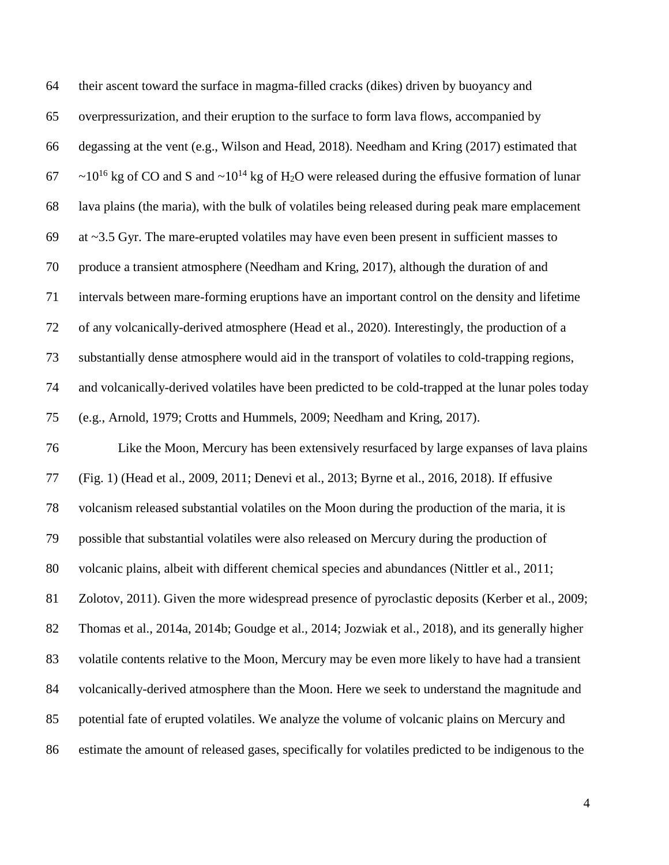| 64 | their ascent toward the surface in magma-filled cracks (dikes) driven by buoyancy and                                                          |
|----|------------------------------------------------------------------------------------------------------------------------------------------------|
| 65 | overpressurization, and their eruption to the surface to form lava flows, accompanied by                                                       |
| 66 | degassing at the vent (e.g., Wilson and Head, 2018). Needham and Kring (2017) estimated that                                                   |
| 67 | $\sim$ 10 <sup>16</sup> kg of CO and S and $\sim$ 10 <sup>14</sup> kg of H <sub>2</sub> O were released during the effusive formation of lunar |
| 68 | lava plains (the maria), with the bulk of volatiles being released during peak mare emplacement                                                |
| 69 | at $\sim$ 3.5 Gyr. The mare-erupted volatiles may have even been present in sufficient masses to                                               |
| 70 | produce a transient atmosphere (Needham and Kring, 2017), although the duration of and                                                         |
| 71 | intervals between mare-forming eruptions have an important control on the density and lifetime                                                 |
| 72 | of any volcanically-derived atmosphere (Head et al., 2020). Interestingly, the production of a                                                 |
| 73 | substantially dense atmosphere would aid in the transport of volatiles to cold-trapping regions,                                               |
| 74 | and volcanically-derived volatiles have been predicted to be cold-trapped at the lunar poles today                                             |
| 75 | (e.g., Arnold, 1979; Crotts and Hummels, 2009; Needham and Kring, 2017).                                                                       |
| 76 | Like the Moon, Mercury has been extensively resurfaced by large expanses of lava plains                                                        |
| 77 | (Fig. 1) (Head et al., 2009, 2011; Denevi et al., 2013; Byrne et al., 2016, 2018). If effusive                                                 |
| 78 | volcanism released substantial volatiles on the Moon during the production of the maria, it is                                                 |
| 79 | possible that substantial volatiles were also released on Mercury during the production of                                                     |
| 80 | volcanic plains, albeit with different chemical species and abundances (Nittler et al., 2011;                                                  |
| 81 | Zolotov, 2011). Given the more widespread presence of pyroclastic deposits (Kerber et al., 2009;                                               |
| 82 | Thomas et al., 2014a, 2014b; Goudge et al., 2014; Jozwiak et al., 2018), and its generally higher                                              |
| 83 | volatile contents relative to the Moon, Mercury may be even more likely to have had a transient                                                |
| 84 | volcanically-derived atmosphere than the Moon. Here we seek to understand the magnitude and                                                    |
| 85 | potential fate of erupted volatiles. We analyze the volume of volcanic plains on Mercury and                                                   |
| 86 | estimate the amount of released gases, specifically for volatiles predicted to be indigenous to the                                            |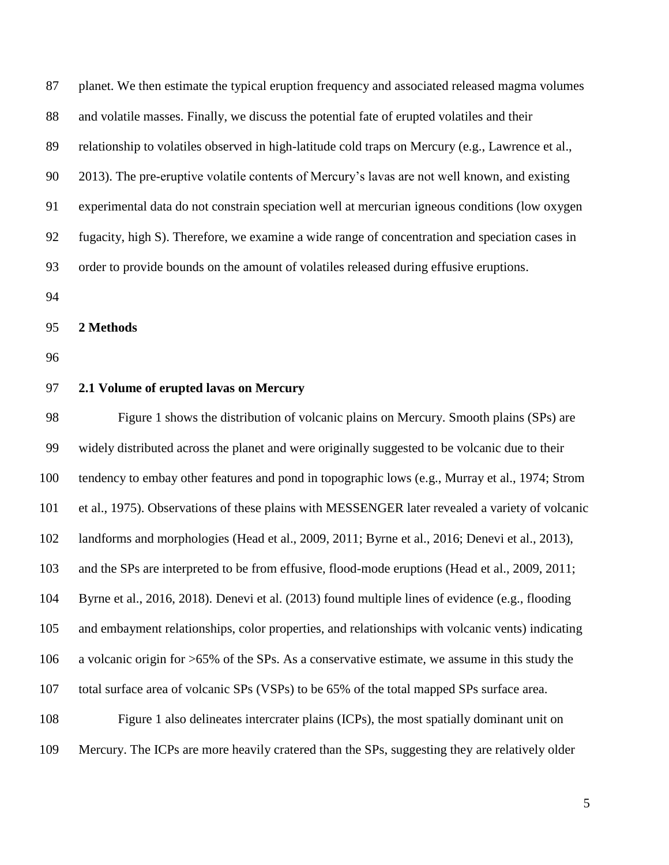| 87  | planet. We then estimate the typical eruption frequency and associated released magma volumes     |
|-----|---------------------------------------------------------------------------------------------------|
| 88  | and volatile masses. Finally, we discuss the potential fate of erupted volatiles and their        |
| 89  | relationship to volatiles observed in high-latitude cold traps on Mercury (e.g., Lawrence et al., |
| 90  | 2013). The pre-eruptive volatile contents of Mercury's lavas are not well known, and existing     |
| 91  | experimental data do not constrain speciation well at mercurian igneous conditions (low oxygen    |
| 92  | fugacity, high S). Therefore, we examine a wide range of concentration and speciation cases in    |
| 93  | order to provide bounds on the amount of volatiles released during effusive eruptions.            |
| 94  |                                                                                                   |
| 95  | 2 Methods                                                                                         |
| 96  |                                                                                                   |
| 97  | 2.1 Volume of erupted lavas on Mercury                                                            |
| 98  | Figure 1 shows the distribution of volcanic plains on Mercury. Smooth plains (SPs) are            |
| 99  | widely distributed across the planet and were originally suggested to be volcanic due to their    |
| 100 | tendency to embay other features and pond in topographic lows (e.g., Murray et al., 1974; Strom   |
| 101 | et al., 1975). Observations of these plains with MESSENGER later revealed a variety of volcanic   |
| 102 | landforms and morphologies (Head et al., 2009, 2011; Byrne et al., 2016; Denevi et al., 2013),    |
| 103 | and the SPs are interpreted to be from effusive, flood-mode eruptions (Head et al., 2009, 2011;   |
| 104 | Byrne et al., 2016, 2018). Denevi et al. (2013) found multiple lines of evidence (e.g., flooding  |
| 105 | and embayment relationships, color properties, and relationships with volcanic vents) indicating  |
| 106 | a volcanic origin for >65% of the SPs. As a conservative estimate, we assume in this study the    |
| 107 | total surface area of volcanic SPs (VSPs) to be 65% of the total mapped SPs surface area.         |

 Figure 1 also delineates intercrater plains (ICPs), the most spatially dominant unit on Mercury. The ICPs are more heavily cratered than the SPs, suggesting they are relatively older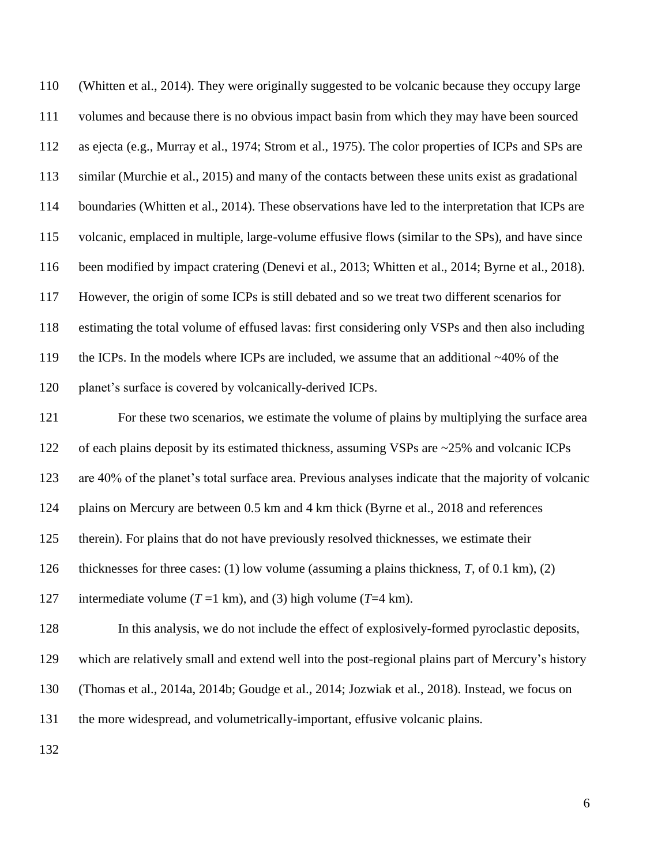| 110 | (Whitten et al., 2014). They were originally suggested to be volcanic because they occupy large      |
|-----|------------------------------------------------------------------------------------------------------|
| 111 | volumes and because there is no obvious impact basin from which they may have been sourced           |
| 112 | as ejecta (e.g., Murray et al., 1974; Strom et al., 1975). The color properties of ICPs and SPs are  |
| 113 | similar (Murchie et al., 2015) and many of the contacts between these units exist as gradational     |
| 114 | boundaries (Whitten et al., 2014). These observations have led to the interpretation that ICPs are   |
| 115 | volcanic, emplaced in multiple, large-volume effusive flows (similar to the SPs), and have since     |
| 116 | been modified by impact cratering (Denevi et al., 2013; Whitten et al., 2014; Byrne et al., 2018).   |
| 117 | However, the origin of some ICPs is still debated and so we treat two different scenarios for        |
| 118 | estimating the total volume of effused lavas: first considering only VSPs and then also including    |
| 119 | the ICPs. In the models where ICPs are included, we assume that an additional $~40\%$ of the         |
| 120 | planet's surface is covered by volcanically-derived ICPs.                                            |
| 121 | For these two scenarios, we estimate the volume of plains by multiplying the surface area            |
| 122 | of each plains deposit by its estimated thickness, assuming VSPs are ~25% and volcanic ICPs          |
| 123 | are 40% of the planet's total surface area. Previous analyses indicate that the majority of volcanic |
| 124 | plains on Mercury are between 0.5 km and 4 km thick (Byrne et al., 2018 and references               |
| 125 | therein). For plains that do not have previously resolved thicknesses, we estimate their             |
| 126 | thicknesses for three cases: (1) low volume (assuming a plains thickness, $T$ , of 0.1 km), (2)      |
| 127 | intermediate volume ( $T = 1$ km), and (3) high volume ( $T = 4$ km).                                |
| 128 | In this analysis, we do not include the effect of explosively-formed pyroclastic deposits,           |
| 129 | which are relatively small and extend well into the post-regional plains part of Mercury's history   |
| 130 | (Thomas et al., 2014a, 2014b; Goudge et al., 2014; Jozwiak et al., 2018). Instead, we focus on       |
| 131 | the more widespread, and volumetrically-important, effusive volcanic plains.                         |
| 132 |                                                                                                      |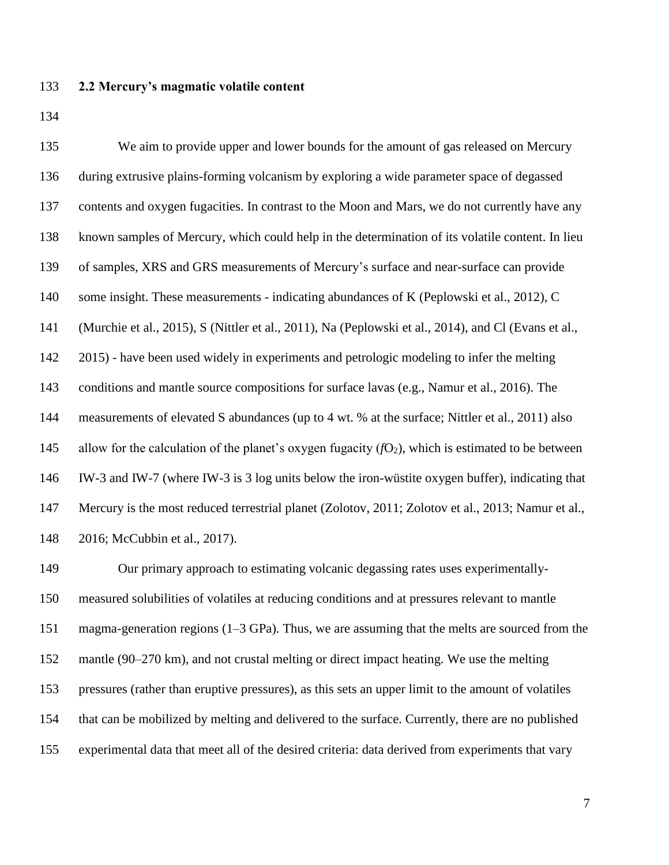#### **2.2 Mercury's magmatic volatile content**

 We aim to provide upper and lower bounds for the amount of gas released on Mercury during extrusive plains-forming volcanism by exploring a wide parameter space of degassed contents and oxygen fugacities. In contrast to the Moon and Mars, we do not currently have any known samples of Mercury, which could help in the determination of its volatile content. In lieu of samples, XRS and GRS measurements of Mercury's surface and near-surface can provide 140 some insight. These measurements - indicating abundances of K (Peplowski et al., 2012), C (Murchie et al., 2015), S (Nittler et al., 2011), Na (Peplowski et al., 2014), and Cl (Evans et al., 2015) - have been used widely in experiments and petrologic modeling to infer the melting 143 conditions and mantle source compositions for surface lavas (e.g., Namur et al., 2016). The measurements of elevated S abundances (up to 4 wt. % at the surface; Nittler et al., 2011) also 145 allow for the calculation of the planet's oxygen fugacity  $(fO_2)$ , which is estimated to be between IW-3 and IW-7 (where IW-3 is 3 log units below the iron-wüstite oxygen buffer), indicating that Mercury is the most reduced terrestrial planet (Zolotov, 2011; Zolotov et al., 2013; Namur et al., 2016; McCubbin et al., 2017).

 Our primary approach to estimating volcanic degassing rates uses experimentally- measured solubilities of volatiles at reducing conditions and at pressures relevant to mantle magma-generation regions (1–3 GPa). Thus, we are assuming that the melts are sourced from the mantle (90–270 km), and not crustal melting or direct impact heating. We use the melting pressures (rather than eruptive pressures), as this sets an upper limit to the amount of volatiles that can be mobilized by melting and delivered to the surface. Currently, there are no published experimental data that meet all of the desired criteria: data derived from experiments that vary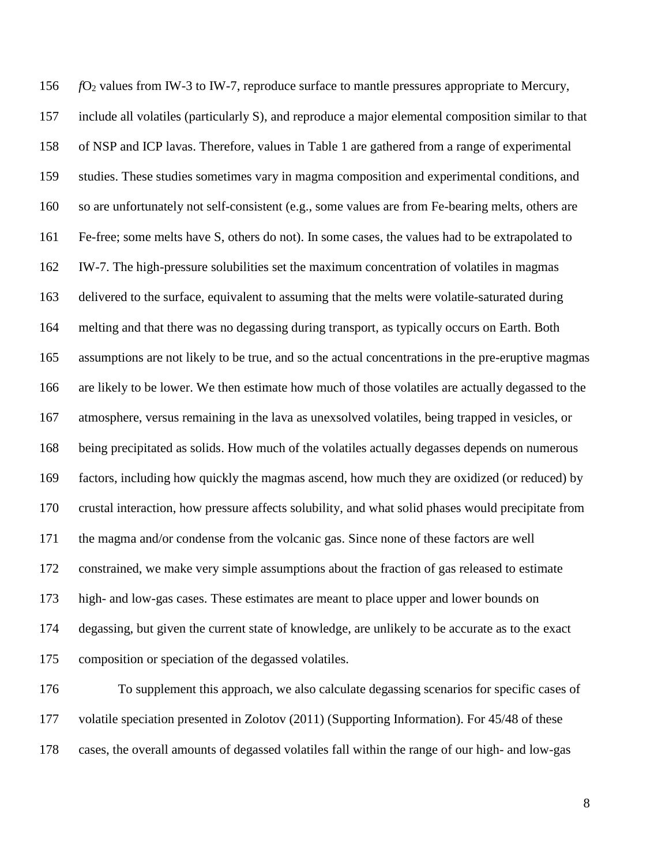*f*O<sup>2</sup> values from IW-3 to IW-7, reproduce surface to mantle pressures appropriate to Mercury, include all volatiles (particularly S), and reproduce a major elemental composition similar to that of NSP and ICP lavas. Therefore, values in Table 1 are gathered from a range of experimental studies. These studies sometimes vary in magma composition and experimental conditions, and so are unfortunately not self-consistent (e.g., some values are from Fe-bearing melts, others are Fe-free; some melts have S, others do not). In some cases, the values had to be extrapolated to IW-7. The high-pressure solubilities set the maximum concentration of volatiles in magmas delivered to the surface, equivalent to assuming that the melts were volatile-saturated during melting and that there was no degassing during transport, as typically occurs on Earth. Both assumptions are not likely to be true, and so the actual concentrations in the pre-eruptive magmas are likely to be lower. We then estimate how much of those volatiles are actually degassed to the atmosphere, versus remaining in the lava as unexsolved volatiles, being trapped in vesicles, or being precipitated as solids. How much of the volatiles actually degasses depends on numerous factors, including how quickly the magmas ascend, how much they are oxidized (or reduced) by crustal interaction, how pressure affects solubility, and what solid phases would precipitate from the magma and/or condense from the volcanic gas. Since none of these factors are well constrained, we make very simple assumptions about the fraction of gas released to estimate high- and low-gas cases. These estimates are meant to place upper and lower bounds on degassing, but given the current state of knowledge, are unlikely to be accurate as to the exact composition or speciation of the degassed volatiles.

 To supplement this approach, we also calculate degassing scenarios for specific cases of volatile speciation presented in Zolotov (2011) (Supporting Information). For 45/48 of these cases, the overall amounts of degassed volatiles fall within the range of our high- and low-gas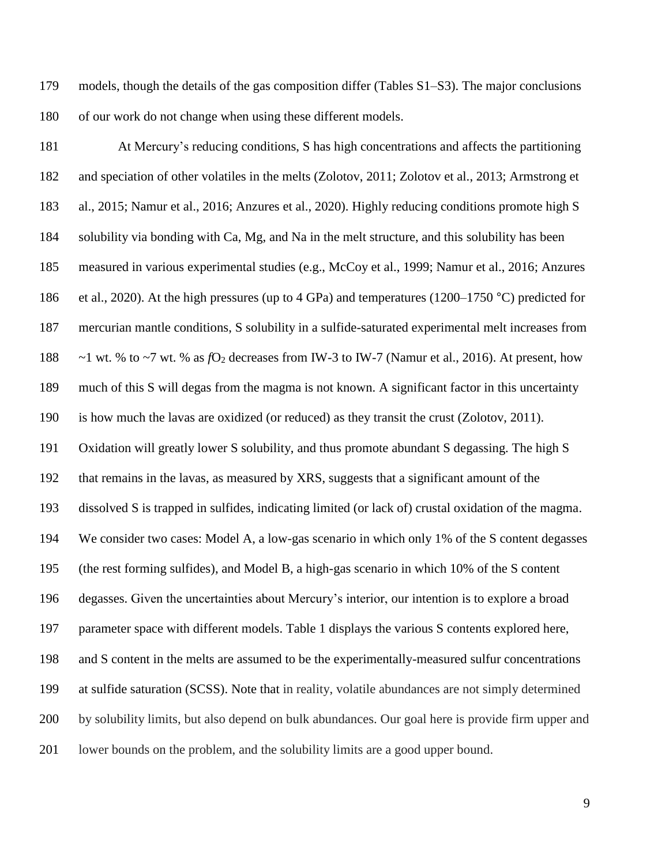models, though the details of the gas composition differ (Tables S1–S3). The major conclusions of our work do not change when using these different models.

 At Mercury's reducing conditions, S has high concentrations and affects the partitioning and speciation of other volatiles in the melts (Zolotov, 2011; Zolotov et al., 2013; Armstrong et al., 2015; Namur et al., 2016; Anzures et al., 2020). Highly reducing conditions promote high S solubility via bonding with Ca, Mg, and Na in the melt structure, and this solubility has been measured in various experimental studies (e.g., McCoy et al., 1999; Namur et al., 2016; Anzures et al., 2020). At the high pressures (up to 4 GPa) and temperatures (1200–1750 °C) predicted for mercurian mantle conditions, S solubility in a sulfide-saturated experimental melt increases from  $\sim$ 1 wt. % to  $\sim$ 7 wt. % as *f*O<sub>2</sub> decreases from IW-3 to IW-7 (Namur et al., 2016). At present, how much of this S will degas from the magma is not known. A significant factor in this uncertainty is how much the lavas are oxidized (or reduced) as they transit the crust (Zolotov, 2011). Oxidation will greatly lower S solubility, and thus promote abundant S degassing. The high S that remains in the lavas, as measured by XRS, suggests that a significant amount of the dissolved S is trapped in sulfides, indicating limited (or lack of) crustal oxidation of the magma. We consider two cases: Model A, a low-gas scenario in which only 1% of the S content degasses (the rest forming sulfides), and Model B, a high-gas scenario in which 10% of the S content degasses. Given the uncertainties about Mercury's interior, our intention is to explore a broad parameter space with different models. Table 1 displays the various S contents explored here, and S content in the melts are assumed to be the experimentally-measured sulfur concentrations at sulfide saturation (SCSS). Note that in reality, volatile abundances are not simply determined by solubility limits, but also depend on bulk abundances. Our goal here is provide firm upper and lower bounds on the problem, and the solubility limits are a good upper bound.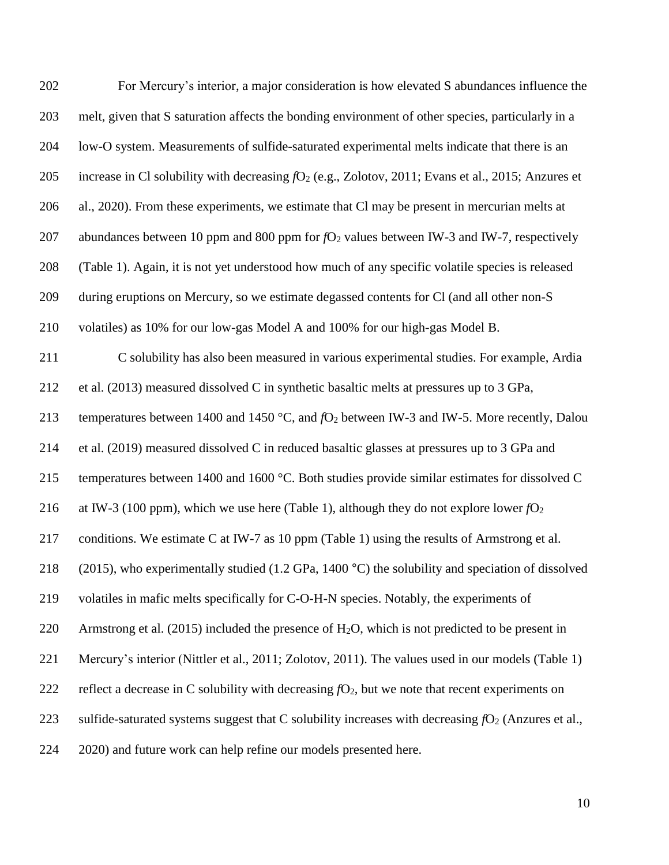| 202 | For Mercury's interior, a major consideration is how elevated S abundances influence the                   |
|-----|------------------------------------------------------------------------------------------------------------|
| 203 | melt, given that S saturation affects the bonding environment of other species, particularly in a          |
| 204 | low-O system. Measurements of sulfide-saturated experimental melts indicate that there is an               |
| 205 | increase in Cl solubility with decreasing $fO_2$ (e.g., Zolotov, 2011; Evans et al., 2015; Anzures et      |
| 206 | al., 2020). From these experiments, we estimate that Cl may be present in mercurian melts at               |
| 207 | abundances between 10 ppm and 800 ppm for $fO2$ values between IW-3 and IW-7, respectively                 |
| 208 | (Table 1). Again, it is not yet understood how much of any specific volatile species is released           |
| 209 | during eruptions on Mercury, so we estimate degassed contents for CI (and all other non-S                  |
| 210 | volatiles) as 10% for our low-gas Model A and 100% for our high-gas Model B.                               |
| 211 | C solubility has also been measured in various experimental studies. For example, Ardia                    |
| 212 | et al. (2013) measured dissolved C in synthetic basaltic melts at pressures up to 3 GPa,                   |
| 213 | temperatures between 1400 and 1450 °C, and $fO_2$ between IW-3 and IW-5. More recently, Dalou              |
| 214 | et al. (2019) measured dissolved C in reduced basaltic glasses at pressures up to 3 GPa and                |
| 215 | temperatures between 1400 and 1600 °C. Both studies provide similar estimates for dissolved C              |
| 216 | at IW-3 (100 ppm), which we use here (Table 1), although they do not explore lower $fO2$                   |
| 217 | conditions. We estimate C at IW-7 as 10 ppm (Table 1) using the results of Armstrong et al.                |
| 218 | (2015), who experimentally studied (1.2 GPa, 1400 $^{\circ}$ C) the solubility and speciation of dissolved |
| 219 | volatiles in mafic melts specifically for C-O-H-N species. Notably, the experiments of                     |
| 220 | Armstrong et al. (2015) included the presence of $H_2O$ , which is not predicted to be present in          |
| 221 | Mercury's interior (Nittler et al., 2011; Zolotov, 2011). The values used in our models (Table 1)          |
| 222 | reflect a decrease in C solubility with decreasing $fO_2$ , but we note that recent experiments on         |
| 223 | sulfide-saturated systems suggest that C solubility increases with decreasing $fO_2$ (Anzures et al.,      |
| 224 | 2020) and future work can help refine our models presented here.                                           |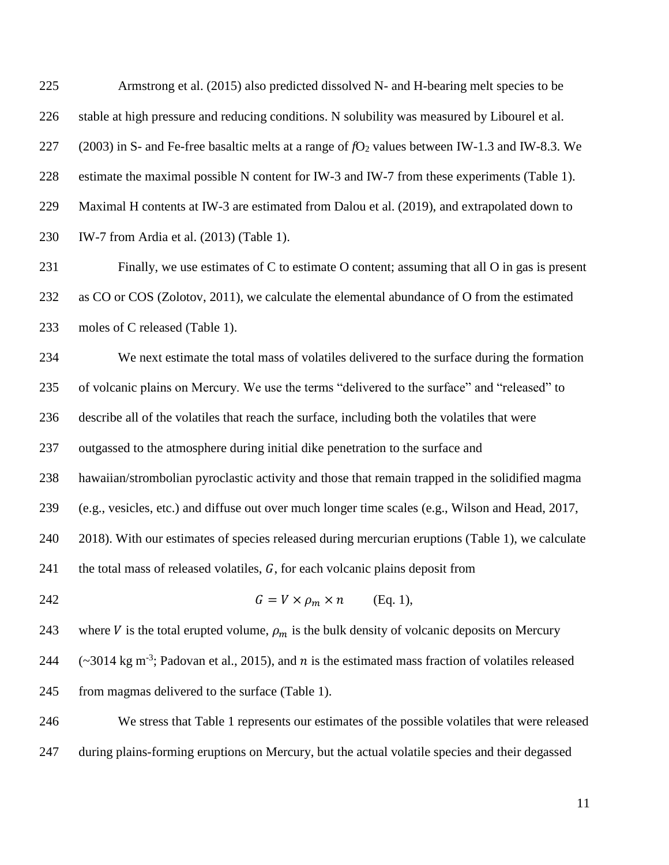Armstrong et al. (2015) also predicted dissolved N- and H-bearing melt species to be stable at high pressure and reducing conditions. N solubility was measured by Libourel et al. 227 (2003) in S- and Fe-free basaltic melts at a range of  $fO_2$  values between IW-1.3 and IW-8.3. We estimate the maximal possible N content for IW-3 and IW-7 from these experiments (Table 1). Maximal H contents at IW-3 are estimated from Dalou et al. (2019), and extrapolated down to IW-7 from Ardia et al. (2013) (Table 1).

 Finally, we use estimates of C to estimate O content; assuming that all O in gas is present as CO or COS (Zolotov, 2011), we calculate the elemental abundance of O from the estimated 233 moles of C released (Table 1).

 We next estimate the total mass of volatiles delivered to the surface during the formation of volcanic plains on Mercury. We use the terms "delivered to the surface" and "released" to describe all of the volatiles that reach the surface, including both the volatiles that were outgassed to the atmosphere during initial dike penetration to the surface and hawaiian/strombolian pyroclastic activity and those that remain trapped in the solidified magma (e.g., vesicles, etc.) and diffuse out over much longer time scales (e.g., Wilson and Head, 2017, 2018). With our estimates of species released during mercurian eruptions (Table 1), we calculate 241 the total mass of released volatiles, *, for each volcanic plains deposit from* 

242  $G = V \times \rho_m \times n$  (Eq. 1),

243 where *V* is the total erupted volume,  $\rho_m$  is the bulk density of volcanic deposits on Mercury 244  $\left(-3014 \text{ kg m}^3\right)$ ; Padovan et al., 2015), and *n* is the estimated mass fraction of volatiles released from magmas delivered to the surface (Table 1).

 We stress that Table 1 represents our estimates of the possible volatiles that were released during plains-forming eruptions on Mercury, but the actual volatile species and their degassed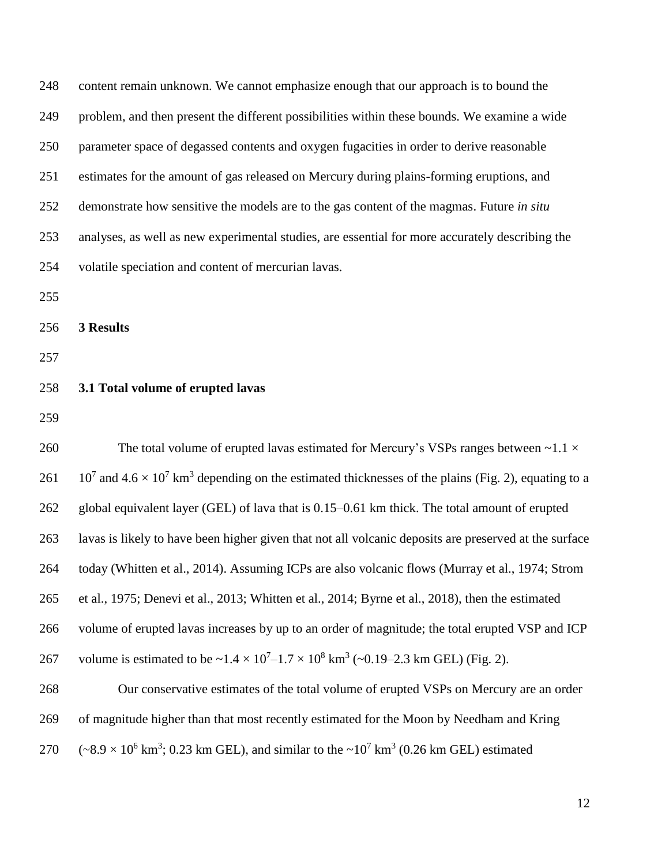content remain unknown. We cannot emphasize enough that our approach is to bound the problem, and then present the different possibilities within these bounds. We examine a wide parameter space of degassed contents and oxygen fugacities in order to derive reasonable estimates for the amount of gas released on Mercury during plains-forming eruptions, and demonstrate how sensitive the models are to the gas content of the magmas. Future *in situ* analyses, as well as new experimental studies, are essential for more accurately describing the volatile speciation and content of mercurian lavas. **3 Results 3.1 Total volume of erupted lavas** 260 The total volume of erupted lavas estimated for Mercury's VSPs ranges between  $\sim$ 1.1  $\times$  $10^7$  and  $4.6 \times 10^7$  km<sup>3</sup> depending on the estimated thicknesses of the plains (Fig. 2), equating to a global equivalent layer (GEL) of lava that is 0.15–0.61 km thick. The total amount of erupted lavas is likely to have been higher given that not all volcanic deposits are preserved at the surface today (Whitten et al., 2014). Assuming ICPs are also volcanic flows (Murray et al., 1974; Strom et al., 1975; Denevi et al., 2013; Whitten et al., 2014; Byrne et al., 2018), then the estimated volume of erupted lavas increases by up to an order of magnitude; the total erupted VSP and ICP 267 volume is estimated to be  $\sim 1.4 \times 10^{7} - 1.7 \times 10^{8}$  km<sup>3</sup> ( $\sim 0.19 - 2.3$  km GEL) (Fig. 2). Our conservative estimates of the total volume of erupted VSPs on Mercury are an order of magnitude higher than that most recently estimated for the Moon by Needham and Kring  $(-8.9 \times 10^6 \text{ km}^3; 0.23 \text{ km} \text{ GEL})$ , and similar to the  $\sim 10^7 \text{ km}^3$  (0.26 km GEL) estimated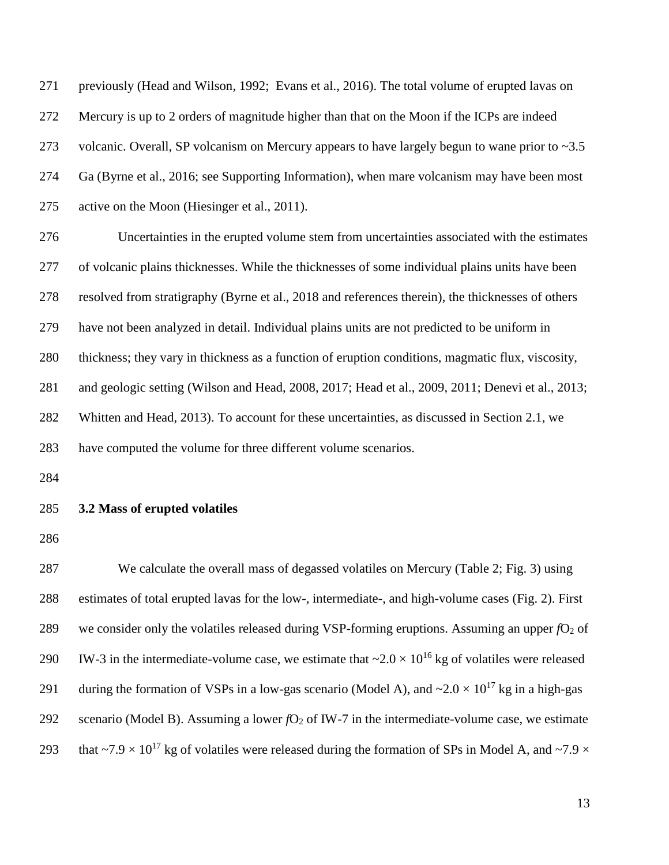previously (Head and Wilson, 1992; Evans et al., 2016). The total volume of erupted lavas on Mercury is up to 2 orders of magnitude higher than that on the Moon if the ICPs are indeed 273 volcanic. Overall, SP volcanism on Mercury appears to have largely begun to wane prior to  $\sim$ 3.5 Ga (Byrne et al., 2016; see Supporting Information), when mare volcanism may have been most active on the Moon (Hiesinger et al., 2011).

 Uncertainties in the erupted volume stem from uncertainties associated with the estimates of volcanic plains thicknesses. While the thicknesses of some individual plains units have been resolved from stratigraphy (Byrne et al., 2018 and references therein), the thicknesses of others have not been analyzed in detail. Individual plains units are not predicted to be uniform in thickness; they vary in thickness as a function of eruption conditions, magmatic flux, viscosity, and geologic setting (Wilson and Head, 2008, 2017; Head et al., 2009, 2011; Denevi et al., 2013; Whitten and Head, 2013). To account for these uncertainties, as discussed in Section 2.1, we have computed the volume for three different volume scenarios.

#### **3.2 Mass of erupted volatiles**

 We calculate the overall mass of degassed volatiles on Mercury (Table 2; Fig. 3) using estimates of total erupted lavas for the low-, intermediate-, and high-volume cases (Fig. 2). First 289 we consider only the volatiles released during VSP-forming eruptions. Assuming an upper  $fO<sub>2</sub>$  of 290 W-3 in the intermediate-volume case, we estimate that  $\sim 2.0 \times 10^{16}$  kg of volatiles were released 291 during the formation of VSPs in a low-gas scenario (Model A), and  $\sim 2.0 \times 10^{17}$  kg in a high-gas 292 scenario (Model B). Assuming a lower  $fO_2$  of IW-7 in the intermediate-volume case, we estimate 293 that  $\sim$ 7.9  $\times$  10<sup>17</sup> kg of volatiles were released during the formation of SPs in Model A, and  $\sim$ 7.9  $\times$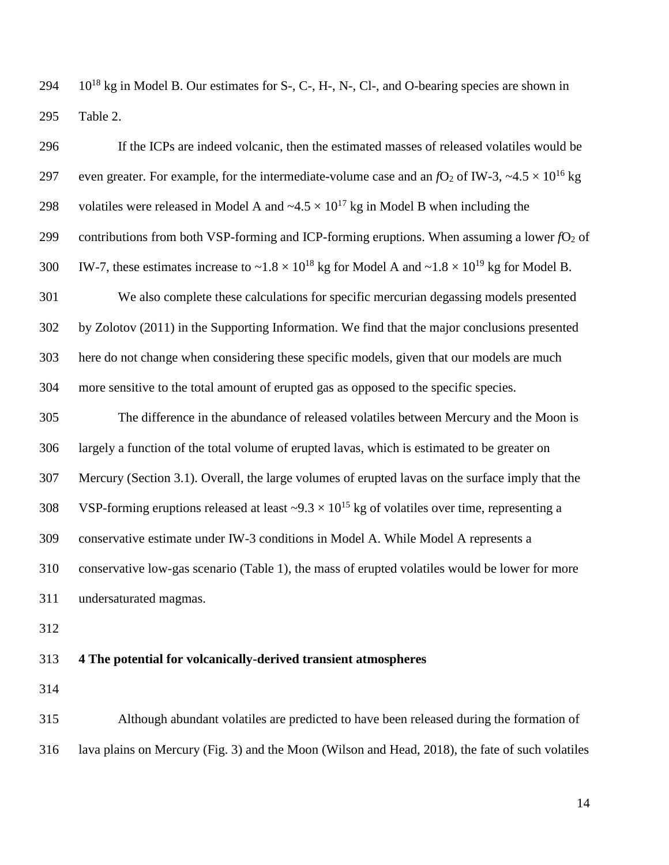$10^{18}$  kg in Model B. Our estimates for S-, C-, H-, N-, Cl-, and O-bearing species are shown in Table 2.

| 296 | If the ICPs are indeed volcanic, then the estimated masses of released volatiles would be                                |
|-----|--------------------------------------------------------------------------------------------------------------------------|
| 297 | even greater. For example, for the intermediate-volume case and an $fO_2$ of IW-3, ~4.5 $\times$ 10 <sup>16</sup> kg     |
| 298 | volatiles were released in Model A and $\sim 4.5 \times 10^{17}$ kg in Model B when including the                        |
| 299 | contributions from both VSP-forming and ICP-forming eruptions. When assuming a lower $fO2$ of                            |
| 300 | IW-7, these estimates increase to $\sim 1.8 \times 10^{18}$ kg for Model A and $\sim 1.8 \times 10^{19}$ kg for Model B. |
| 301 | We also complete these calculations for specific mercurian degassing models presented                                    |
| 302 | by Zolotov (2011) in the Supporting Information. We find that the major conclusions presented                            |
| 303 | here do not change when considering these specific models, given that our models are much                                |
| 304 | more sensitive to the total amount of erupted gas as opposed to the specific species.                                    |
| 305 | The difference in the abundance of released volatiles between Mercury and the Moon is                                    |
| 306 | largely a function of the total volume of erupted lavas, which is estimated to be greater on                             |
| 307 | Mercury (Section 3.1). Overall, the large volumes of erupted lavas on the surface imply that the                         |
| 308 | VSP-forming eruptions released at least $\sim 9.3 \times 10^{15}$ kg of volatiles over time, representing a              |
| 309 | conservative estimate under IW-3 conditions in Model A. While Model A represents a                                       |
| 310 | conservative low-gas scenario (Table 1), the mass of erupted volatiles would be lower for more                           |
| 311 | undersaturated magmas.                                                                                                   |
| 312 |                                                                                                                          |
| 313 | 4 The potential for volcanically-derived transient atmospheres                                                           |

 Although abundant volatiles are predicted to have been released during the formation of lava plains on Mercury (Fig. 3) and the Moon (Wilson and Head, 2018), the fate of such volatiles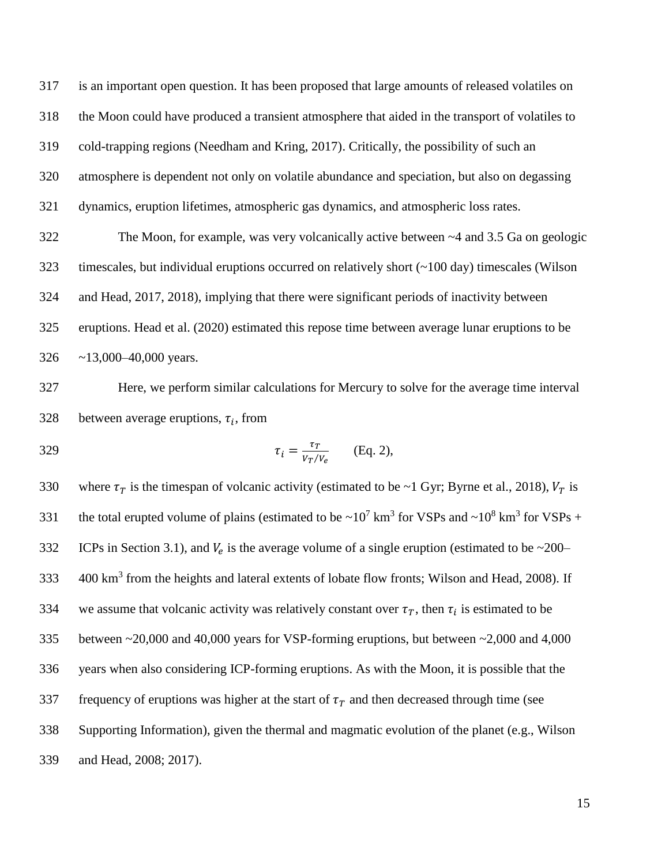is an important open question. It has been proposed that large amounts of released volatiles on the Moon could have produced a transient atmosphere that aided in the transport of volatiles to cold-trapping regions (Needham and Kring, 2017). Critically, the possibility of such an atmosphere is dependent not only on volatile abundance and speciation, but also on degassing dynamics, eruption lifetimes, atmospheric gas dynamics, and atmospheric loss rates. The Moon, for example, was very volcanically active between ~4 and 3.5 Ga on geologic

 timescales, but individual eruptions occurred on relatively short (~100 day) timescales (Wilson and Head, 2017, 2018), implying that there were significant periods of inactivity between eruptions. Head et al. (2020) estimated this repose time between average lunar eruptions to be ~13,000–40,000 years.

 Here, we perform similar calculations for Mercury to solve for the average time interval 328 between average eruptions,  $\tau_i$ , from

$$
\tau_i = \frac{\tau_T}{v_T/v_e} \qquad \text{(Eq. 2)},
$$

330 where  $\tau_T$  is the timespan of volcanic activity (estimated to be ~1 Gyr; Byrne et al., 2018),  $V_T$  is 331 the total erupted volume of plains (estimated to be  $\sim 10^7$  km<sup>3</sup> for VSPs and  $\sim 10^8$  km<sup>3</sup> for VSPs + ICPs in Section 3.1), and  $V_e$  is the average volume of a single eruption (estimated to be ~200– 333 400 km<sup>3</sup> from the heights and lateral extents of lobate flow fronts; Wilson and Head, 2008). If 334 we assume that volcanic activity was relatively constant over  $\tau_T$ , then  $\tau_i$  is estimated to be between ~20,000 and 40,000 years for VSP-forming eruptions, but between ~2,000 and 4,000 years when also considering ICP-forming eruptions. As with the Moon, it is possible that the 337 frequency of eruptions was higher at the start of  $\tau_T$  and then decreased through time (see Supporting Information), given the thermal and magmatic evolution of the planet (e.g., Wilson and Head, 2008; 2017).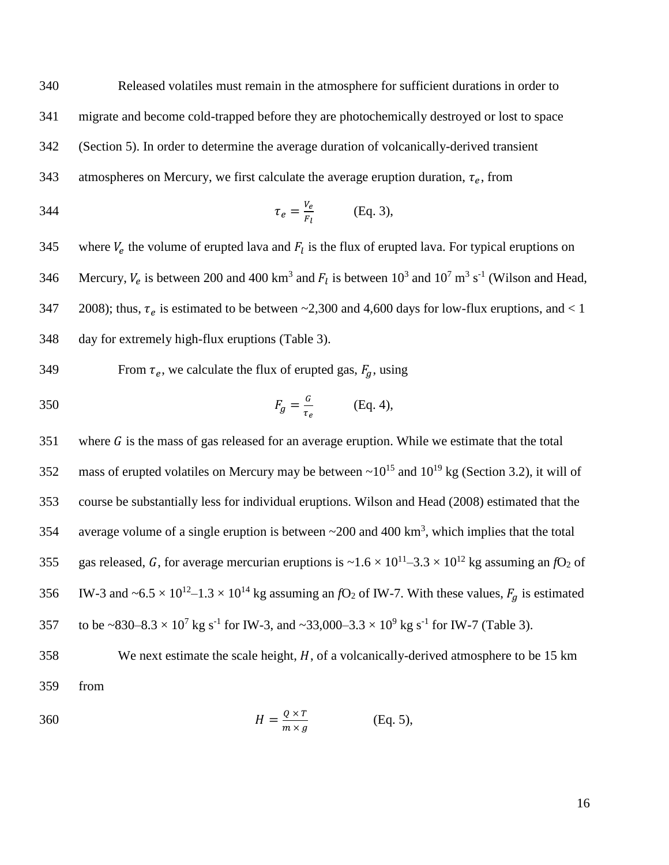340 Released volatiles must remain in the atmosphere for sufficient durations in order to 341 migrate and become cold-trapped before they are photochemically destroyed or lost to space 342 (Section 5). In order to determine the average duration of volcanically-derived transient

343 atmospheres on Mercury, we first calculate the average eruption duration,  $\tau_e$ , from

$$
\tau_e = \frac{V_e}{F_l} \qquad \text{(Eq. 3)},
$$

345 where  $V_e$  the volume of erupted lava and  $F_l$  is the flux of erupted lava. For typical eruptions on 346 Mercury,  $V_e$  is between 200 and 400 km<sup>3</sup> and  $F_l$  is between 10<sup>3</sup> and 10<sup>7</sup> m<sup>3</sup> s<sup>-1</sup> (Wilson and Head, 347 2008); thus,  $\tau_e$  is estimated to be between ~2,300 and 4,600 days for low-flux eruptions, and < 1 348 day for extremely high-flux eruptions (Table 3).

349 From  $\tau_e$ , we calculate the flux of erupted gas,  $F_g$ , using

$$
F_g = \frac{G}{\tau_e} \quad \text{(Eq. 4)},
$$

 $351$  where G is the mass of gas released for an average eruption. While we estimate that the total 352 mass of erupted volatiles on Mercury may be between  $\sim 10^{15}$  and  $10^{19}$  kg (Section 3.2), it will of 353 course be substantially less for individual eruptions. Wilson and Head (2008) estimated that the 354 average volume of a single eruption is between  $\sim$  200 and 400 km<sup>3</sup>, which implies that the total 355 gas released, G, for average mercurian eruptions is  $\sim 1.6 \times 10^{11} - 3.3 \times 10^{12}$  kg assuming an *f*O<sub>2</sub> of 356 IW-3 and  $\sim 6.5 \times 10^{12} - 1.3 \times 10^{14}$  kg assuming an *f*O<sub>2</sub> of IW-7. With these values,  $F_g$  is estimated 357 to be ~830–8.3  $\times$  10<sup>7</sup> kg s<sup>-1</sup> for IW-3, and ~33,000–3.3  $\times$  10<sup>9</sup> kg s<sup>-1</sup> for IW-7 (Table 3).

 $358$  We next estimate the scale height,  $H$ , of a volcanically-derived atmosphere to be 15 km 359 from

360 
$$
H = \frac{Q \times T}{m \times g}
$$
 (Eq. 5),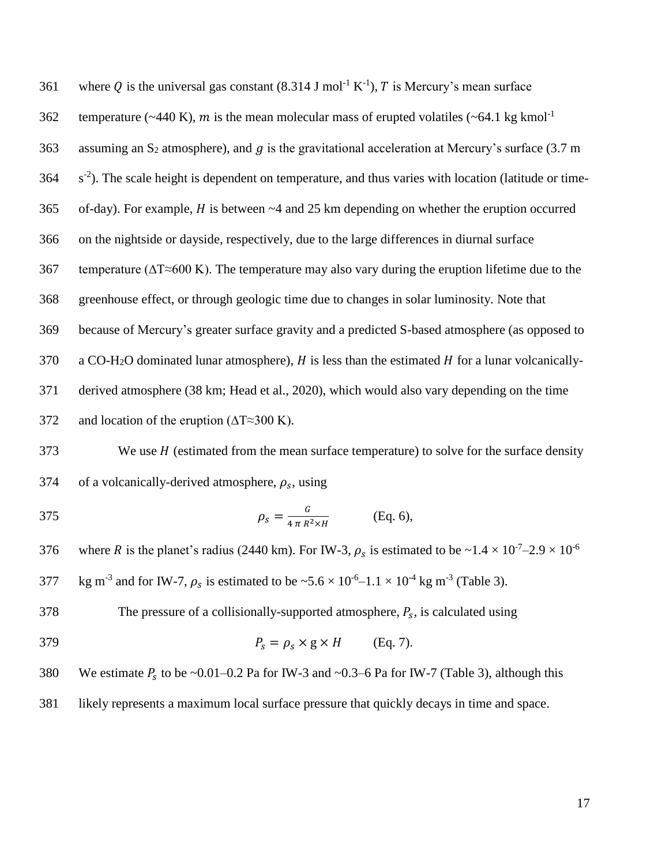| 361 | where Q is the universal gas constant (8.314 J mol <sup>-1</sup> K <sup>-1</sup> ), T is Mercury's mean surface |
|-----|-----------------------------------------------------------------------------------------------------------------|
| 362 | temperature (~440 K), m is the mean molecular mass of erupted volatiles (~64.1 kg kmol <sup>-1</sup>            |
| 363 | assuming an S <sub>2</sub> atmosphere), and g is the gravitational acceleration at Mercury's surface (3.7 m     |
| 364 | $s^{-2}$ ). The scale height is dependent on temperature, and thus varies with location (latitude or time-      |
| 365 | of-day). For example, $H$ is between $~4$ and 25 km depending on whether the eruption occurred                  |
| 366 | on the nightside or dayside, respectively, due to the large differences in diurnal surface                      |
| 367 | temperature ( $\Delta T \approx 600$ K). The temperature may also vary during the eruption lifetime due to the  |
| 368 | greenhouse effect, or through geologic time due to changes in solar luminosity. Note that                       |
| 369 | because of Mercury's greater surface gravity and a predicted S-based atmosphere (as opposed to                  |
| 370 | a CO-H <sub>2</sub> O dominated lunar atmosphere), $H$ is less than the estimated $H$ for a lunar volcanically- |
| 371 | derived atmosphere (38 km; Head et al., 2020), which would also vary depending on the time                      |
| 372 | and location of the eruption ( $\Delta T \approx 300$ K).                                                       |

 $373$  We use  $H$  (estimated from the mean surface temperature) to solve for the surface density 374 of a volcanically-derived atmosphere,  $\rho_s$ , using

375 
$$
\rho_s = \frac{G}{4 \pi R^2 \times H}
$$
 (Eq. 6),

where R is the planet's radius (2440 km). For IW-3,  $\rho_s$  is estimated to be  $\sim 1.4 \times 10^{-7} - 2.9 \times 10^{-6}$ 376

377 kg m<sup>-3</sup> and for IW-7,  $\rho_s$  is estimated to be  $\sim 5.6 \times 10^{-6} - 1.1 \times 10^{-4}$  kg m<sup>-3</sup> (Table 3).

378 The pressure of a collisionally-supported atmosphere,  $P_s$ , is calculated using

379  $P_s = \rho_s \times g \times H$  (Eq. 7).

380 We estimate  $P_s$  to be ~0.01–0.2 Pa for IW-3 and ~0.3–6 Pa for IW-7 (Table 3), although this

381 likely represents a maximum local surface pressure that quickly decays in time and space.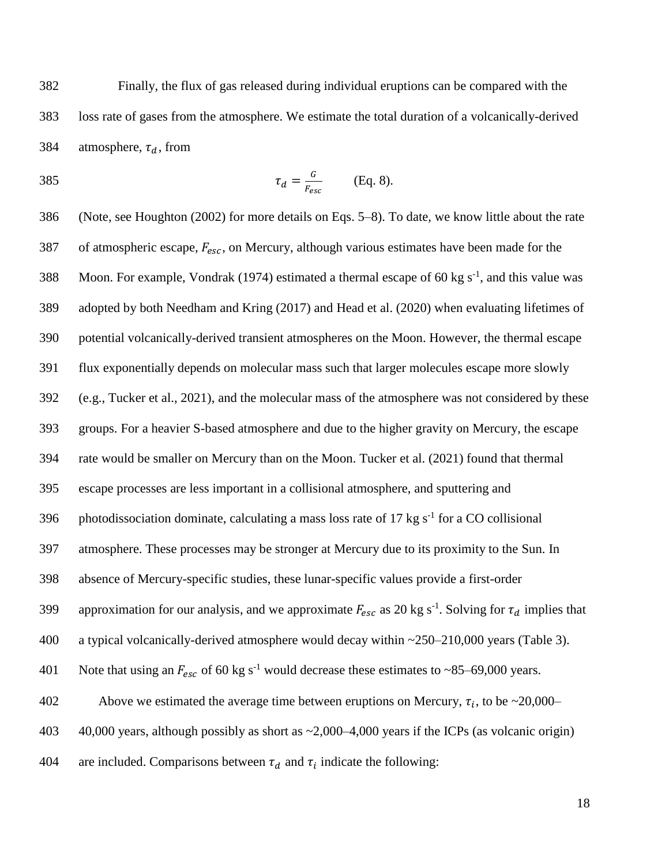382 Finally, the flux of gas released during individual eruptions can be compared with the 383 loss rate of gases from the atmosphere. We estimate the total duration of a volcanically-derived 384 atmosphere,  $\tau_d$ , from

$$
\tau_d = \frac{G}{F_{esc}} \qquad \text{(Eq. 8).}
$$

386 (Note, see Houghton (2002) for more details on Eqs. 5–8). To date, we know little about the rate 387 of atmospheric escape,  $F_{esc}$ , on Mercury, although various estimates have been made for the 388 Moon. For example, Vondrak (1974) estimated a thermal escape of 60 kg  $s^{-1}$ , and this value was 389 adopted by both Needham and Kring (2017) and Head et al. (2020) when evaluating lifetimes of 390 potential volcanically-derived transient atmospheres on the Moon. However, the thermal escape 391 flux exponentially depends on molecular mass such that larger molecules escape more slowly 392 (e.g., Tucker et al., 2021), and the molecular mass of the atmosphere was not considered by these 393 groups. For a heavier S-based atmosphere and due to the higher gravity on Mercury, the escape 394 rate would be smaller on Mercury than on the Moon. Tucker et al. (2021) found that thermal 395 escape processes are less important in a collisional atmosphere, and sputtering and 396 photodissociation dominate, calculating a mass loss rate of 17 kg  $s^{-1}$  for a CO collisional 397 atmosphere. These processes may be stronger at Mercury due to its proximity to the Sun. In 398 absence of Mercury-specific studies, these lunar-specific values provide a first-order 399 approximation for our analysis, and we approximate  $F_{esc}$  as 20 kg s<sup>-1</sup>. Solving for  $\tau_d$  implies that 400 a typical volcanically-derived atmosphere would decay within ~250–210,000 years (Table 3). 401 Note that using an  $F_{esc}$  of 60 kg s<sup>-1</sup> would decrease these estimates to ~85–69,000 years. Above we estimated the average time between eruptions on Mercury,  $\tau_i$ , to be ~20,000– 403 40,000 years, although possibly as short as ~2,000–4,000 years if the ICPs (as volcanic origin) 404 are included. Comparisons between  $\tau_d$  and  $\tau_i$  indicate the following: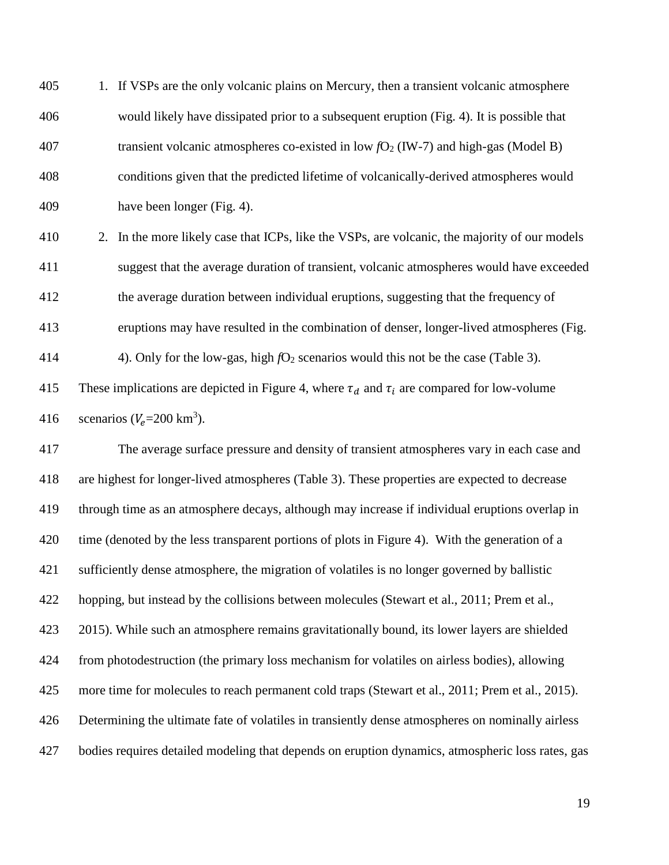1. If VSPs are the only volcanic plains on Mercury, then a transient volcanic atmosphere would likely have dissipated prior to a subsequent eruption (Fig. 4). It is possible that transient volcanic atmospheres co-existed in low *f*O<sup>2</sup> (IW-7) and high-gas (Model B) conditions given that the predicted lifetime of volcanically-derived atmospheres would have been longer (Fig. 4).

 2. In the more likely case that ICPs, like the VSPs, are volcanic, the majority of our models suggest that the average duration of transient, volcanic atmospheres would have exceeded the average duration between individual eruptions, suggesting that the frequency of eruptions may have resulted in the combination of denser, longer-lived atmospheres (Fig. 414 4). Only for the low-gas, high  $fO_2$  scenarios would this not be the case (Table 3).

415 These implications are depicted in Figure 4, where  $\tau_d$  and  $\tau_i$  are compared for low-volume 416 scenarios ( $V_e$ =200 km<sup>3</sup>).

 The average surface pressure and density of transient atmospheres vary in each case and are highest for longer-lived atmospheres (Table 3). These properties are expected to decrease through time as an atmosphere decays, although may increase if individual eruptions overlap in 420 time (denoted by the less transparent portions of plots in Figure 4). With the generation of a sufficiently dense atmosphere, the migration of volatiles is no longer governed by ballistic hopping, but instead by the collisions between molecules (Stewart et al., 2011; Prem et al., 2015). While such an atmosphere remains gravitationally bound, its lower layers are shielded from photodestruction (the primary loss mechanism for volatiles on airless bodies), allowing 425 more time for molecules to reach permanent cold traps (Stewart et al., 2011; Prem et al., 2015). Determining the ultimate fate of volatiles in transiently dense atmospheres on nominally airless bodies requires detailed modeling that depends on eruption dynamics, atmospheric loss rates, gas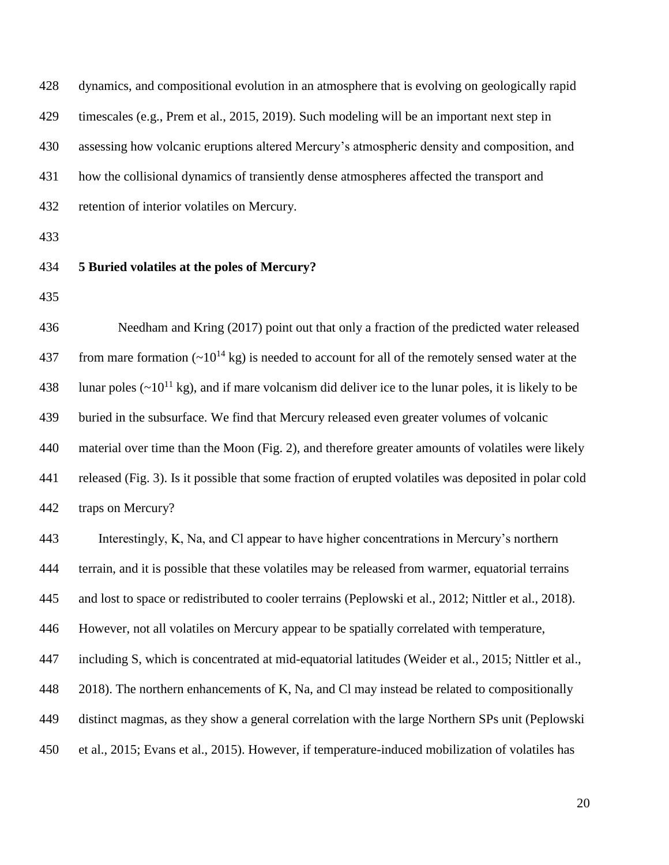| 428 | dynamics, and compositional evolution in an atmosphere that is evolving on geologically rapid                     |
|-----|-------------------------------------------------------------------------------------------------------------------|
| 429 | timescales (e.g., Prem et al., 2015, 2019). Such modeling will be an important next step in                       |
| 430 | assessing how volcanic eruptions altered Mercury's atmospheric density and composition, and                       |
| 431 | how the collisional dynamics of transiently dense atmospheres affected the transport and                          |
| 432 | retention of interior volatiles on Mercury.                                                                       |
| 433 |                                                                                                                   |
| 434 | 5 Buried volatiles at the poles of Mercury?                                                                       |
| 435 |                                                                                                                   |
| 436 | Needham and Kring (2017) point out that only a fraction of the predicted water released                           |
| 437 | from mare formation $({\sim}10^{14} \text{ kg})$ is needed to account for all of the remotely sensed water at the |
| 438 | lunar poles ( $\sim 10^{11}$ kg), and if mare volcanism did deliver ice to the lunar poles, it is likely to be    |
| 439 | buried in the subsurface. We find that Mercury released even greater volumes of volcanic                          |
| 440 | material over time than the Moon (Fig. 2), and therefore greater amounts of volatiles were likely                 |
| 441 | released (Fig. 3). Is it possible that some fraction of erupted volatiles was deposited in polar cold             |
| 442 | traps on Mercury?                                                                                                 |
| 443 | Interestingly, K, Na, and Cl appear to have higher concentrations in Mercury's northern                           |
| 444 | terrain, and it is possible that these volatiles may be released from warmer, equatorial terrains                 |
| 445 | and lost to space or redistributed to cooler terrains (Peplowski et al., 2012; Nittler et al., 2018).             |
| 446 | However, not all volatiles on Mercury appear to be spatially correlated with temperature,                         |
| 447 | including S, which is concentrated at mid-equatorial latitudes (Weider et al., 2015; Nittler et al.,              |
| 448 | 2018). The northern enhancements of K, Na, and Cl may instead be related to compositionally                       |
| 449 | distinct magmas, as they show a general correlation with the large Northern SPs unit (Peplowski                   |
| 450 | et al., 2015; Evans et al., 2015). However, if temperature-induced mobilization of volatiles has                  |
|     |                                                                                                                   |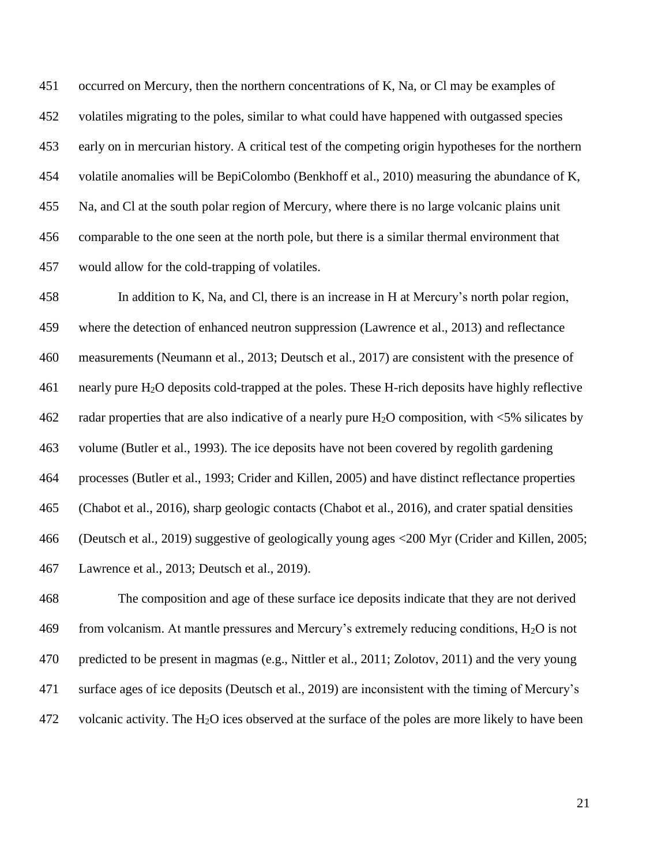occurred on Mercury, then the northern concentrations of K, Na, or Cl may be examples of volatiles migrating to the poles, similar to what could have happened with outgassed species early on in mercurian history. A critical test of the competing origin hypotheses for the northern volatile anomalies will be BepiColombo (Benkhoff et al., 2010) measuring the abundance of K, Na, and Cl at the south polar region of Mercury, where there is no large volcanic plains unit comparable to the one seen at the north pole, but there is a similar thermal environment that would allow for the cold-trapping of volatiles.

 In addition to K, Na, and Cl, there is an increase in H at Mercury's north polar region, where the detection of enhanced neutron suppression (Lawrence et al., 2013) and reflectance measurements (Neumann et al., 2013; Deutsch et al., 2017) are consistent with the presence of nearly pure H2O deposits cold-trapped at the poles. These H-rich deposits have highly reflective 462 radar properties that are also indicative of a nearly pure H<sub>2</sub>O composition, with  $\leq 5\%$  silicates by volume (Butler et al., 1993). The ice deposits have not been covered by regolith gardening processes (Butler et al., 1993; Crider and Killen, 2005) and have distinct reflectance properties (Chabot et al., 2016), sharp geologic contacts (Chabot et al., 2016), and crater spatial densities (Deutsch et al., 2019) suggestive of geologically young ages <200 Myr (Crider and Killen, 2005; Lawrence et al., 2013; Deutsch et al., 2019).

 The composition and age of these surface ice deposits indicate that they are not derived 469 from volcanism. At mantle pressures and Mercury's extremely reducing conditions,  $H_2O$  is not predicted to be present in magmas (e.g., Nittler et al., 2011; Zolotov, 2011) and the very young surface ages of ice deposits (Deutsch et al., 2019) are inconsistent with the timing of Mercury's 472 volcanic activity. The  $H_2O$  ices observed at the surface of the poles are more likely to have been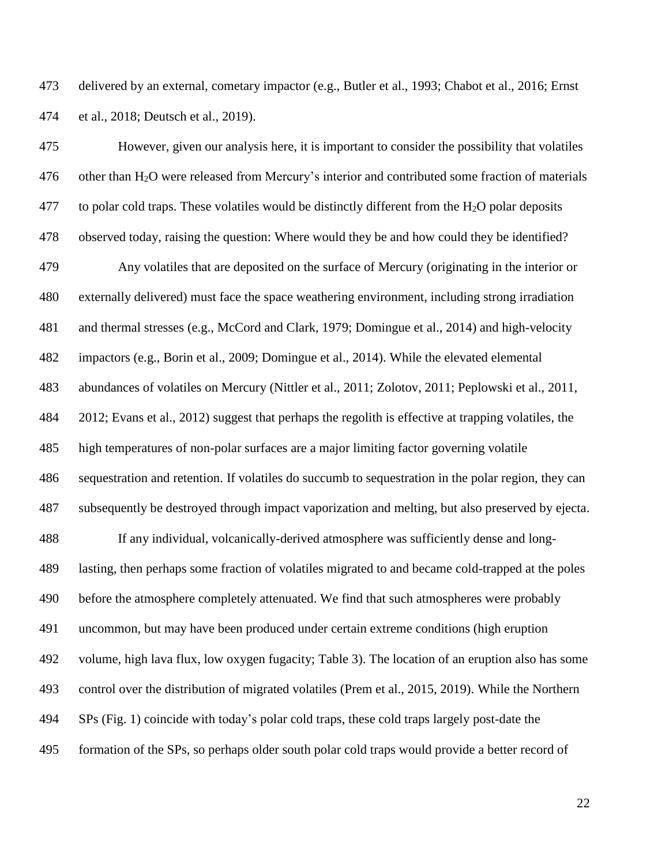delivered by an external, cometary impactor (e.g., Butler et al., 1993; Chabot et al., 2016; Ernst et al., 2018; Deutsch et al., 2019).

 However, given our analysis here, it is important to consider the possibility that volatiles other than H2O were released from Mercury's interior and contributed some fraction of materials 477 to polar cold traps. These volatiles would be distinctly different from the  $H_2O$  polar deposits observed today, raising the question: Where would they be and how could they be identified? Any volatiles that are deposited on the surface of Mercury (originating in the interior or externally delivered) must face the space weathering environment, including strong irradiation and thermal stresses (e.g., McCord and Clark, 1979; Domingue et al., 2014) and high-velocity impactors (e.g., Borin et al., 2009; Domingue et al., 2014). While the elevated elemental abundances of volatiles on Mercury (Nittler et al., 2011; Zolotov, 2011; Peplowski et al., 2011, 2012; Evans et al., 2012) suggest that perhaps the regolith is effective at trapping volatiles, the high temperatures of non-polar surfaces are a major limiting factor governing volatile sequestration and retention. If volatiles do succumb to sequestration in the polar region, they can subsequently be destroyed through impact vaporization and melting, but also preserved by ejecta. If any individual, volcanically-derived atmosphere was sufficiently dense and long- lasting, then perhaps some fraction of volatiles migrated to and became cold-trapped at the poles before the atmosphere completely attenuated. We find that such atmospheres were probably uncommon, but may have been produced under certain extreme conditions (high eruption volume, high lava flux, low oxygen fugacity; Table 3). The location of an eruption also has some control over the distribution of migrated volatiles (Prem et al., 2015, 2019). While the Northern SPs (Fig. 1) coincide with today's polar cold traps, these cold traps largely post-date the formation of the SPs, so perhaps older south polar cold traps would provide a better record of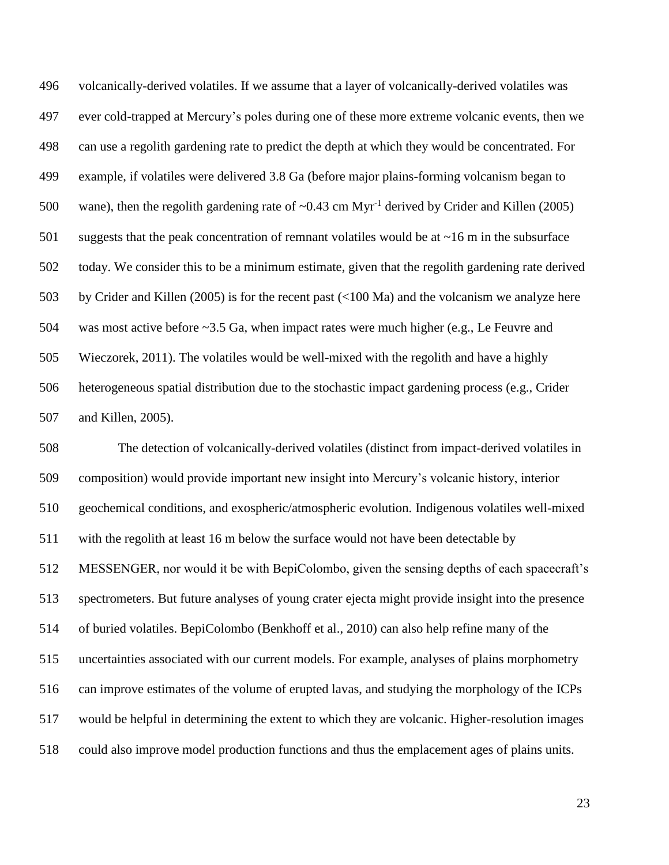volcanically-derived volatiles. If we assume that a layer of volcanically-derived volatiles was ever cold-trapped at Mercury's poles during one of these more extreme volcanic events, then we can use a regolith gardening rate to predict the depth at which they would be concentrated. For example, if volatiles were delivered 3.8 Ga (before major plains-forming volcanism began to 500 wane), then the regolith gardening rate of  $\sim 0.43$  cm Myr<sup>-1</sup> derived by Crider and Killen (2005) suggests that the peak concentration of remnant volatiles would be at ~16 m in the subsurface today. We consider this to be a minimum estimate, given that the regolith gardening rate derived by Crider and Killen (2005) is for the recent past (<100 Ma) and the volcanism we analyze here was most active before ~3.5 Ga, when impact rates were much higher (e.g., Le Feuvre and Wieczorek, 2011). The volatiles would be well-mixed with the regolith and have a highly heterogeneous spatial distribution due to the stochastic impact gardening process (e.g., Crider and Killen, 2005).

 The detection of volcanically-derived volatiles (distinct from impact-derived volatiles in composition) would provide important new insight into Mercury's volcanic history, interior geochemical conditions, and exospheric/atmospheric evolution. Indigenous volatiles well-mixed with the regolith at least 16 m below the surface would not have been detectable by MESSENGER, nor would it be with BepiColombo, given the sensing depths of each spacecraft's spectrometers. But future analyses of young crater ejecta might provide insight into the presence of buried volatiles. BepiColombo (Benkhoff et al., 2010) can also help refine many of the uncertainties associated with our current models. For example, analyses of plains morphometry can improve estimates of the volume of erupted lavas, and studying the morphology of the ICPs would be helpful in determining the extent to which they are volcanic. Higher-resolution images could also improve model production functions and thus the emplacement ages of plains units.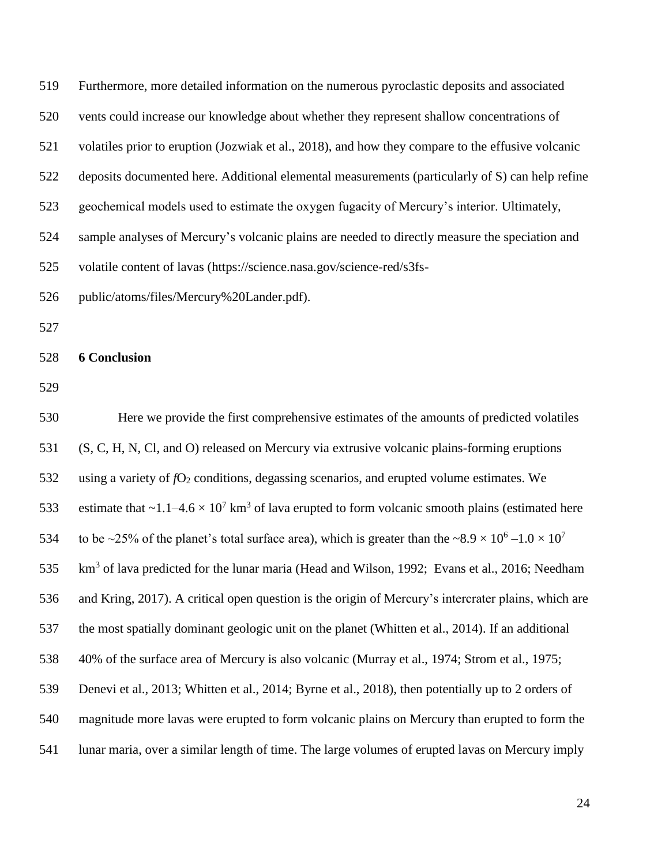| 519 | Furthermore, more detailed information on the numerous pyroclastic deposits and associated                                            |
|-----|---------------------------------------------------------------------------------------------------------------------------------------|
| 520 | vents could increase our knowledge about whether they represent shallow concentrations of                                             |
| 521 | volatiles prior to eruption (Jozwiak et al., 2018), and how they compare to the effusive volcanic                                     |
| 522 | deposits documented here. Additional elemental measurements (particularly of S) can help refine                                       |
| 523 | geochemical models used to estimate the oxygen fugacity of Mercury's interior. Ultimately,                                            |
| 524 | sample analyses of Mercury's volcanic plains are needed to directly measure the speciation and                                        |
| 525 | volatile content of lavas (https://science.nasa.gov/science-red/s3fs-                                                                 |
| 526 | public/atoms/files/Mercury%20Lander.pdf).                                                                                             |
| 527 |                                                                                                                                       |
| 528 | <b>6 Conclusion</b>                                                                                                                   |
| 529 |                                                                                                                                       |
| 530 | Here we provide the first comprehensive estimates of the amounts of predicted volatiles                                               |
| 531 | (S, C, H, N, Cl, and O) released on Mercury via extrusive volcanic plains-forming eruptions                                           |
| 532 | using a variety of $fO_2$ conditions, degassing scenarios, and erupted volume estimates. We                                           |
| 533 | estimate that $\sim$ 1.1–4.6 $\times$ 10 <sup>7</sup> km <sup>3</sup> of lava erupted to form volcanic smooth plains (estimated here  |
| 534 | to be ~25% of the planet's total surface area), which is greater than the ~8.9 $\times$ 10 <sup>6</sup> -1.0 $\times$ 10 <sup>7</sup> |
| 535 | km <sup>3</sup> of lava predicted for the lunar maria (Head and Wilson, 1992; Evans et al., 2016; Needham                             |
| 536 | and Kring, 2017). A critical open question is the origin of Mercury's intercrater plains, which are                                   |
| 537 | the most spatially dominant geologic unit on the planet (Whitten et al., 2014). If an additional                                      |
| 538 | 40% of the surface area of Mercury is also volcanic (Murray et al., 1974; Strom et al., 1975;                                         |
| 539 | Denevi et al., 2013; Whitten et al., 2014; Byrne et al., 2018), then potentially up to 2 orders of                                    |
| 540 | magnitude more lavas were erupted to form volcanic plains on Mercury than erupted to form the                                         |
| 541 | lunar maria, over a similar length of time. The large volumes of erupted lavas on Mercury imply                                       |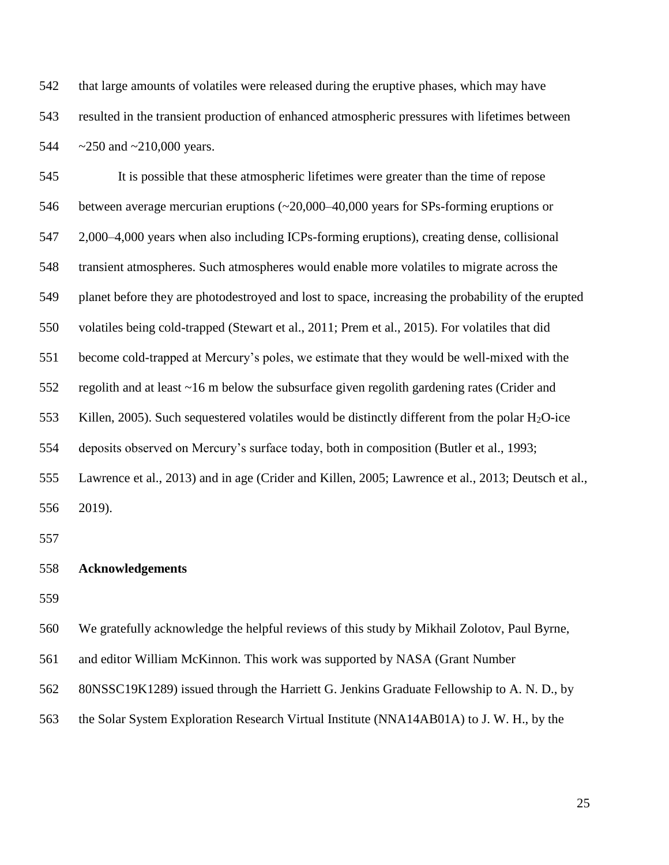that large amounts of volatiles were released during the eruptive phases, which may have resulted in the transient production of enhanced atmospheric pressures with lifetimes between 544 ~250 and ~210,000 years.

 It is possible that these atmospheric lifetimes were greater than the time of repose between average mercurian eruptions (~20,000–40,000 years for SPs-forming eruptions or 2,000–4,000 years when also including ICPs-forming eruptions), creating dense, collisional transient atmospheres. Such atmospheres would enable more volatiles to migrate across the planet before they are photodestroyed and lost to space, increasing the probability of the erupted volatiles being cold-trapped (Stewart et al., 2011; Prem et al., 2015). For volatiles that did become cold-trapped at Mercury's poles, we estimate that they would be well-mixed with the regolith and at least ~16 m below the subsurface given regolith gardening rates (Crider and 553 Killen, 2005). Such sequestered volatiles would be distinctly different from the polar  $H_2O$ -ice deposits observed on Mercury's surface today, both in composition (Butler et al., 1993; Lawrence et al., 2013) and in age (Crider and Killen, 2005; Lawrence et al., 2013; Deutsch et al., 2019).

#### **Acknowledgements**

We gratefully acknowledge the helpful reviews of this study by Mikhail Zolotov, Paul Byrne,

and editor William McKinnon. This work was supported by NASA (Grant Number

80NSSC19K1289) issued through the Harriett G. Jenkins Graduate Fellowship to A. N. D., by

the Solar System Exploration Research Virtual Institute (NNA14AB01A) to J. W. H., by the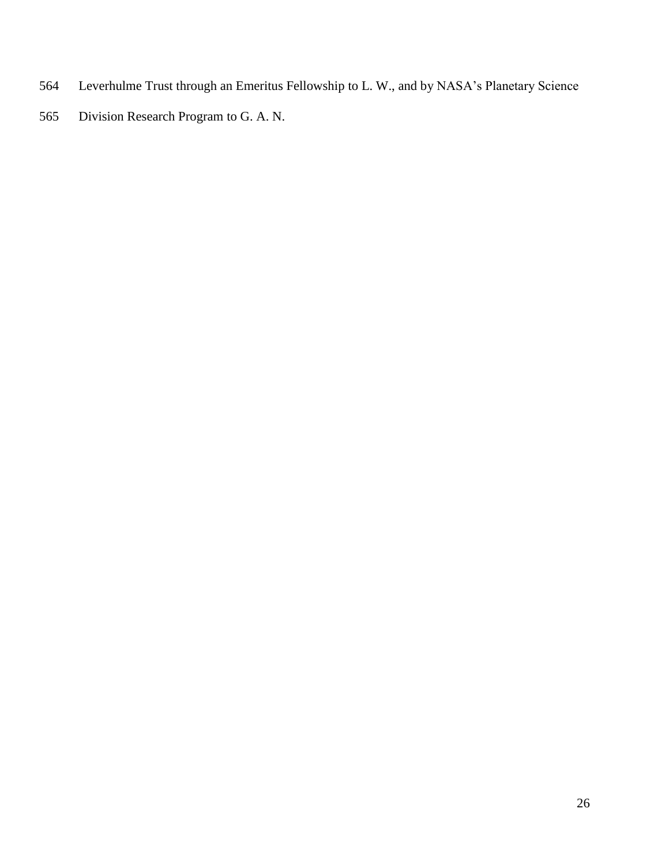- Leverhulme Trust through an Emeritus Fellowship to L. W., and by NASA's Planetary Science
- Division Research Program to G. A. N.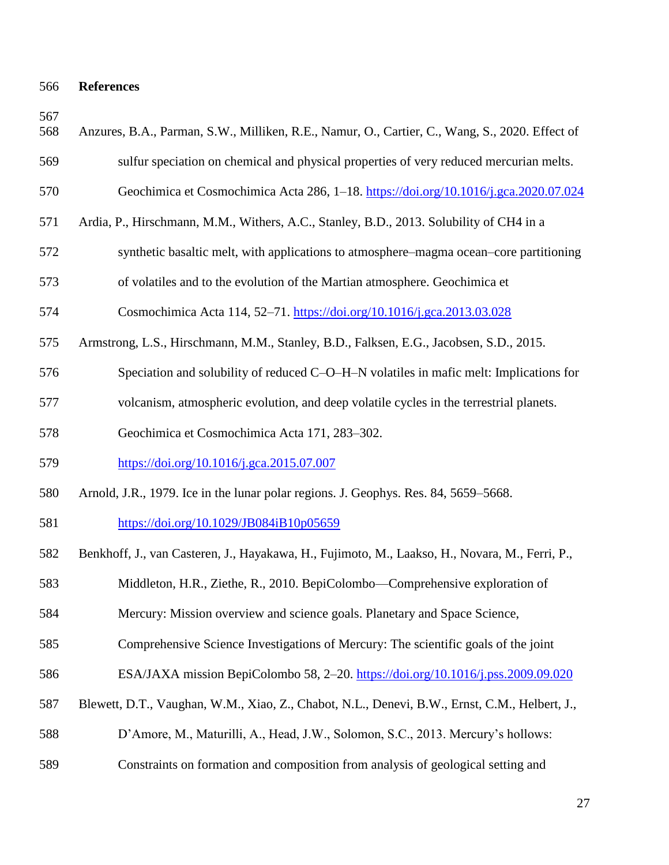## **References**

| 568 | Anzures, B.A., Parman, S.W., Milliken, R.E., Namur, O., Cartier, C., Wang, S., 2020. Effect of |
|-----|------------------------------------------------------------------------------------------------|
| 569 | sulfur speciation on chemical and physical properties of very reduced mercurian melts.         |
| 570 | Geochimica et Cosmochimica Acta 286, 1–18. https://doi.org/10.1016/j.gca.2020.07.024           |
| 571 | Ardia, P., Hirschmann, M.M., Withers, A.C., Stanley, B.D., 2013. Solubility of CH4 in a        |
| 572 | synthetic basaltic melt, with applications to atmosphere–magma ocean–core partitioning         |
| 573 | of volatiles and to the evolution of the Martian atmosphere. Geochimica et                     |
| 574 | Cosmochimica Acta 114, 52–71. https://doi.org/10.1016/j.gca.2013.03.028                        |
| 575 | Armstrong, L.S., Hirschmann, M.M., Stanley, B.D., Falksen, E.G., Jacobsen, S.D., 2015.         |
| 576 | Speciation and solubility of reduced C-O-H-N volatiles in mafic melt: Implications for         |
| 577 | volcanism, atmospheric evolution, and deep volatile cycles in the terrestrial planets.         |
| 578 | Geochimica et Cosmochimica Acta 171, 283-302.                                                  |
| 579 | https://doi.org/10.1016/j.gca.2015.07.007                                                      |
| 580 | Arnold, J.R., 1979. Ice in the lunar polar regions. J. Geophys. Res. 84, 5659–5668.            |
| 581 | https://doi.org/10.1029/JB084iB10p05659                                                        |
| 582 | Benkhoff, J., van Casteren, J., Hayakawa, H., Fujimoto, M., Laakso, H., Novara, M., Ferri, P., |
| 583 | Middleton, H.R., Ziethe, R., 2010. BepiColombo—Comprehensive exploration of                    |
| 584 | Mercury: Mission overview and science goals. Planetary and Space Science,                      |
| 585 | Comprehensive Science Investigations of Mercury: The scientific goals of the joint             |
| 586 | ESA/JAXA mission BepiColombo 58, 2-20. https://doi.org/10.1016/j.pss.2009.09.020               |
| 587 | Blewett, D.T., Vaughan, W.M., Xiao, Z., Chabot, N.L., Denevi, B.W., Ernst, C.M., Helbert, J.,  |
| 588 | D'Amore, M., Maturilli, A., Head, J.W., Solomon, S.C., 2013. Mercury's hollows:                |
| 589 | Constraints on formation and composition from analysis of geological setting and               |
|     |                                                                                                |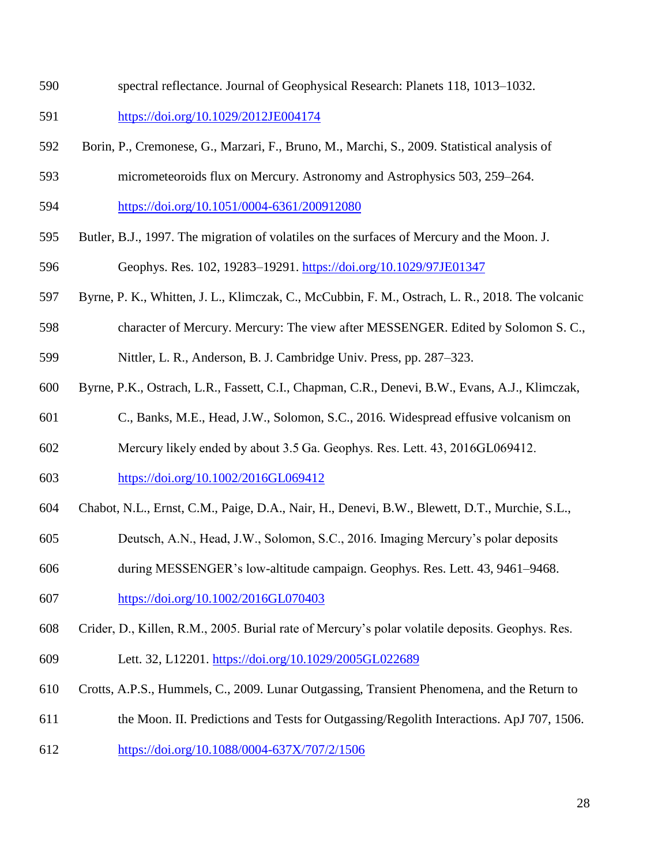- spectral reflectance. Journal of Geophysical Research: Planets 118, 1013–1032.
- <https://doi.org/10.1029/2012JE004174>
- Borin, P., Cremonese, G., Marzari, F., Bruno, M., Marchi, S., 2009. Statistical analysis of
- micrometeoroids flux on Mercury. Astronomy and Astrophysics 503, 259–264.
- <https://doi.org/10.1051/0004-6361/200912080>
- Butler, B.J., 1997. The migration of volatiles on the surfaces of Mercury and the Moon. J.
- Geophys. Res. 102, 19283–19291.<https://doi.org/10.1029/97JE01347>
- Byrne, P. K., Whitten, J. L., Klimczak, C., McCubbin, F. M., Ostrach, L. R., 2018. The volcanic
- character of Mercury. Mercury: The view after MESSENGER. Edited by Solomon S. C.,
- Nittler, L. R., Anderson, B. J. Cambridge Univ. Press, pp. 287–323.
- Byrne, P.K., Ostrach, L.R., Fassett, C.I., Chapman, C.R., Denevi, B.W., Evans, A.J., Klimczak,
- C., Banks, M.E., Head, J.W., Solomon, S.C., 2016. Widespread effusive volcanism on
- Mercury likely ended by about 3.5 Ga. Geophys. Res. Lett. 43, 2016GL069412.
- <https://doi.org/10.1002/2016GL069412>
- Chabot, N.L., Ernst, C.M., Paige, D.A., Nair, H., Denevi, B.W., Blewett, D.T., Murchie, S.L.,
- Deutsch, A.N., Head, J.W., Solomon, S.C., 2016. Imaging Mercury's polar deposits
- during MESSENGER's low-altitude campaign. Geophys. Res. Lett. 43, 9461–9468.
- <https://doi.org/10.1002/2016GL070403>
- Crider, D., Killen, R.M., 2005. Burial rate of Mercury's polar volatile deposits. Geophys. Res.
- Lett. 32, L12201.<https://doi.org/10.1029/2005GL022689>
- Crotts, A.P.S., Hummels, C., 2009. Lunar Outgassing, Transient Phenomena, and the Return to
- the Moon. II. Predictions and Tests for Outgassing/Regolith Interactions. ApJ 707, 1506.
- <https://doi.org/10.1088/0004-637X/707/2/1506>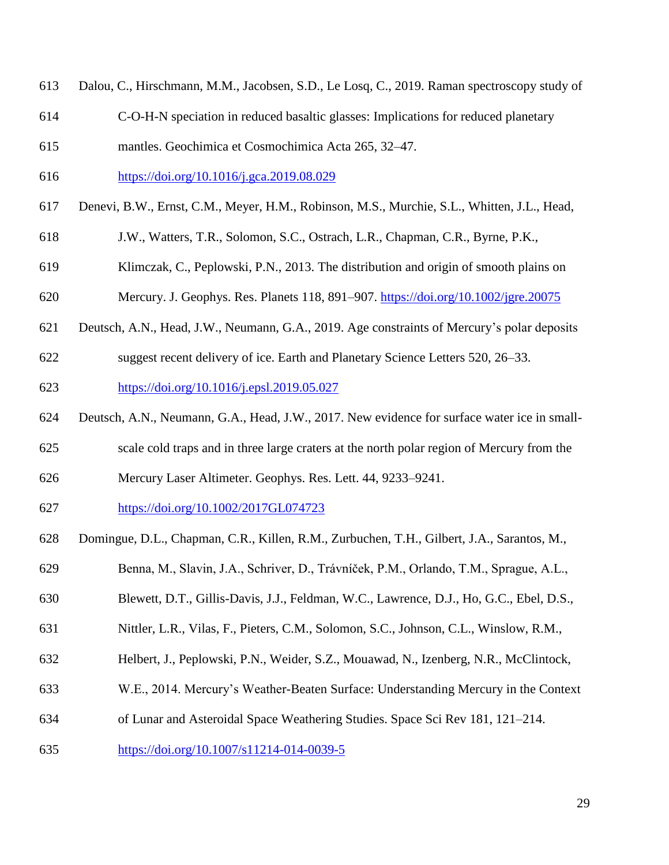- Dalou, C., Hirschmann, M.M., Jacobsen, S.D., Le Losq, C., 2019. Raman spectroscopy study of
- C-O-H-N speciation in reduced basaltic glasses: Implications for reduced planetary
- mantles. Geochimica et Cosmochimica Acta 265, 32–47.
- <https://doi.org/10.1016/j.gca.2019.08.029>
- Denevi, B.W., Ernst, C.M., Meyer, H.M., Robinson, M.S., Murchie, S.L., Whitten, J.L., Head,
- J.W., Watters, T.R., Solomon, S.C., Ostrach, L.R., Chapman, C.R., Byrne, P.K.,
- Klimczak, C., Peplowski, P.N., 2013. The distribution and origin of smooth plains on
- Mercury. J. Geophys. Res. Planets 118, 891–907.<https://doi.org/10.1002/jgre.20075>
- Deutsch, A.N., Head, J.W., Neumann, G.A., 2019. Age constraints of Mercury's polar deposits
- suggest recent delivery of ice. Earth and Planetary Science Letters 520, 26–33. <https://doi.org/10.1016/j.epsl.2019.05.027>
- Deutsch, A.N., Neumann, G.A., Head, J.W., 2017. New evidence for surface water ice in small-
- scale cold traps and in three large craters at the north polar region of Mercury from the
- Mercury Laser Altimeter. Geophys. Res. Lett. 44, 9233–9241.
- <https://doi.org/10.1002/2017GL074723>
- Domingue, D.L., Chapman, C.R., Killen, R.M., Zurbuchen, T.H., Gilbert, J.A., Sarantos, M.,
- Benna, M., Slavin, J.A., Schriver, D., Trávníček, P.M., Orlando, T.M., Sprague, A.L.,
- Blewett, D.T., Gillis-Davis, J.J., Feldman, W.C., Lawrence, D.J., Ho, G.C., Ebel, D.S.,
- Nittler, L.R., Vilas, F., Pieters, C.M., Solomon, S.C., Johnson, C.L., Winslow, R.M.,
- Helbert, J., Peplowski, P.N., Weider, S.Z., Mouawad, N., Izenberg, N.R., McClintock,
- W.E., 2014. Mercury's Weather-Beaten Surface: Understanding Mercury in the Context
- of Lunar and Asteroidal Space Weathering Studies. Space Sci Rev 181, 121–214.
- <https://doi.org/10.1007/s11214-014-0039-5>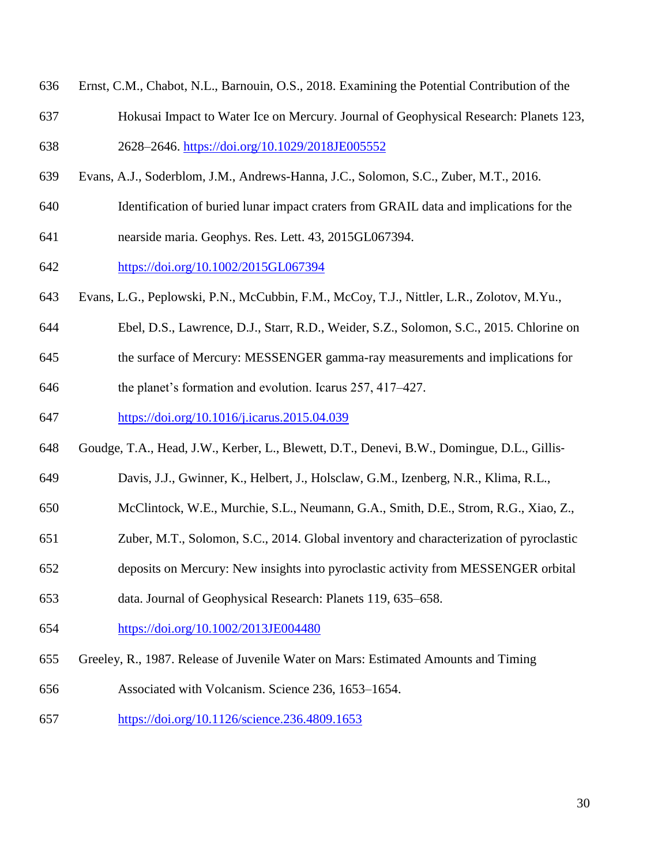- Ernst, C.M., Chabot, N.L., Barnouin, O.S., 2018. Examining the Potential Contribution of the
- Hokusai Impact to Water Ice on Mercury. Journal of Geophysical Research: Planets 123,
- 2628–2646.<https://doi.org/10.1029/2018JE005552>
- Evans, A.J., Soderblom, J.M., Andrews-Hanna, J.C., Solomon, S.C., Zuber, M.T., 2016.
- Identification of buried lunar impact craters from GRAIL data and implications for the
- nearside maria. Geophys. Res. Lett. 43, 2015GL067394.
- <https://doi.org/10.1002/2015GL067394>
- Evans, L.G., Peplowski, P.N., McCubbin, F.M., McCoy, T.J., Nittler, L.R., Zolotov, M.Yu.,
- Ebel, D.S., Lawrence, D.J., Starr, R.D., Weider, S.Z., Solomon, S.C., 2015. Chlorine on
- the surface of Mercury: MESSENGER gamma-ray measurements and implications for
- the planet's formation and evolution. Icarus 257, 417–427.
- <https://doi.org/10.1016/j.icarus.2015.04.039>
- Goudge, T.A., Head, J.W., Kerber, L., Blewett, D.T., Denevi, B.W., Domingue, D.L., Gillis‐
- Davis, J.J., Gwinner, K., Helbert, J., Holsclaw, G.M., Izenberg, N.R., Klima, R.L.,
- McClintock, W.E., Murchie, S.L., Neumann, G.A., Smith, D.E., Strom, R.G., Xiao, Z.,
- Zuber, M.T., Solomon, S.C., 2014. Global inventory and characterization of pyroclastic
- deposits on Mercury: New insights into pyroclastic activity from MESSENGER orbital
- data. Journal of Geophysical Research: Planets 119, 635–658.
- <https://doi.org/10.1002/2013JE004480>
- Greeley, R., 1987. Release of Juvenile Water on Mars: Estimated Amounts and Timing
- Associated with Volcanism. Science 236, 1653–1654.
- <https://doi.org/10.1126/science.236.4809.1653>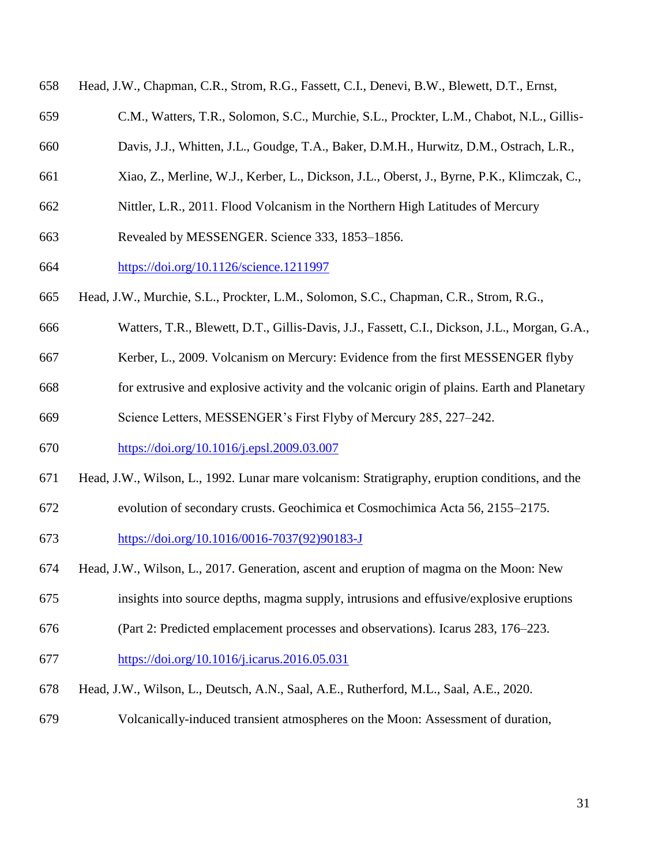| 658 | Head, J.W., Chapman, C.R., Strom, R.G., Fassett, C.I., Denevi, B.W., Blewett, D.T., Ernst,     |
|-----|------------------------------------------------------------------------------------------------|
| 659 | C.M., Watters, T.R., Solomon, S.C., Murchie, S.L., Prockter, L.M., Chabot, N.L., Gillis-       |
| 660 | Davis, J.J., Whitten, J.L., Goudge, T.A., Baker, D.M.H., Hurwitz, D.M., Ostrach, L.R.,         |
| 661 | Xiao, Z., Merline, W.J., Kerber, L., Dickson, J.L., Oberst, J., Byrne, P.K., Klimczak, C.,     |
| 662 | Nittler, L.R., 2011. Flood Volcanism in the Northern High Latitudes of Mercury                 |
| 663 | Revealed by MESSENGER. Science 333, 1853-1856.                                                 |
| 664 | https://doi.org/10.1126/science.1211997                                                        |
| 665 | Head, J.W., Murchie, S.L., Prockter, L.M., Solomon, S.C., Chapman, C.R., Strom, R.G.,          |
| 666 | Watters, T.R., Blewett, D.T., Gillis-Davis, J.J., Fassett, C.I., Dickson, J.L., Morgan, G.A.,  |
| 667 | Kerber, L., 2009. Volcanism on Mercury: Evidence from the first MESSENGER flyby                |
| 668 | for extrusive and explosive activity and the volcanic origin of plains. Earth and Planetary    |
| 669 | Science Letters, MESSENGER's First Flyby of Mercury 285, 227–242.                              |
| 670 | https://doi.org/10.1016/j.epsl.2009.03.007                                                     |
| 671 | Head, J.W., Wilson, L., 1992. Lunar mare volcanism: Stratigraphy, eruption conditions, and the |

evolution of secondary crusts. Geochimica et Cosmochimica Acta 56, 2155–2175.

[https://doi.org/10.1016/0016-7037\(92\)90183-J](https://doi.org/10.1016/0016-7037(92)90183-J)

- Head, J.W., Wilson, L., 2017. Generation, ascent and eruption of magma on the Moon: New
- insights into source depths, magma supply, intrusions and effusive/explosive eruptions
- (Part 2: Predicted emplacement processes and observations). Icarus 283, 176–223.
- <https://doi.org/10.1016/j.icarus.2016.05.031>
- Head, J.W., Wilson, L., Deutsch, A.N., Saal, A.E., Rutherford, M.L., Saal, A.E., 2020.
- Volcanically-induced transient atmospheres on the Moon: Assessment of duration,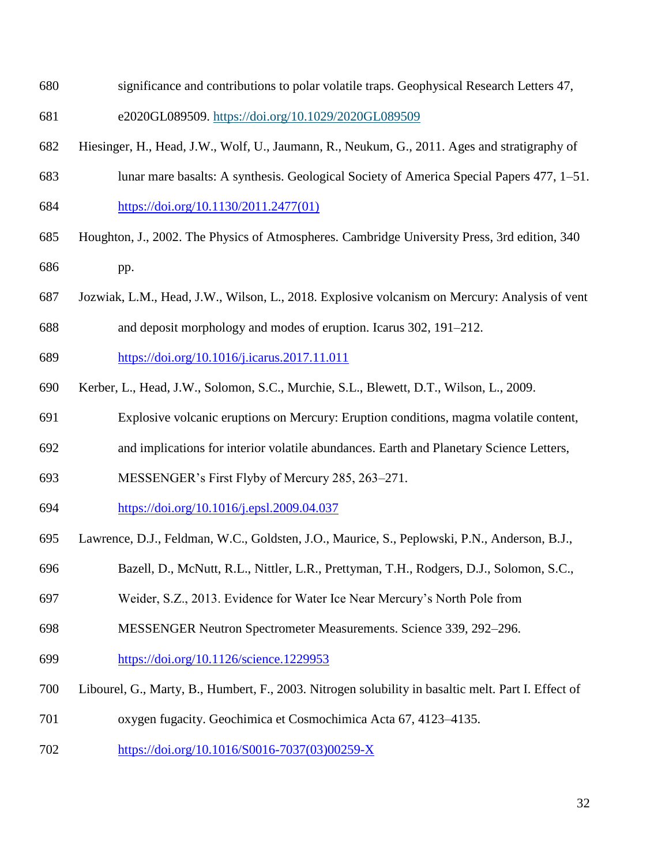- significance and contributions to polar volatile traps. Geophysical Research Letters 47,
- e2020GL089509.<https://doi.org/10.1029/2020GL089509>
- Hiesinger, H., Head, J.W., Wolf, U., Jaumann, R., Neukum, G., 2011. Ages and stratigraphy of
- lunar mare basalts: A synthesis. Geological Society of America Special Papers 477, 1–51. [https://doi.org/10.1130/2011.2477\(01\)](https://doi.org/10.1130/2011.2477(01))
- Houghton, J., 2002. The Physics of Atmospheres. Cambridge University Press, 3rd edition, 340 pp.
- Jozwiak, L.M., Head, J.W., Wilson, L., 2018. Explosive volcanism on Mercury: Analysis of vent
- and deposit morphology and modes of eruption. Icarus 302, 191–212.
- <https://doi.org/10.1016/j.icarus.2017.11.011>
- Kerber, L., Head, J.W., Solomon, S.C., Murchie, S.L., Blewett, D.T., Wilson, L., 2009.
- Explosive volcanic eruptions on Mercury: Eruption conditions, magma volatile content,
- and implications for interior volatile abundances. Earth and Planetary Science Letters,
- MESSENGER's First Flyby of Mercury 285, 263–271.
- <https://doi.org/10.1016/j.epsl.2009.04.037>
- Lawrence, D.J., Feldman, W.C., Goldsten, J.O., Maurice, S., Peplowski, P.N., Anderson, B.J.,
- Bazell, D., McNutt, R.L., Nittler, L.R., Prettyman, T.H., Rodgers, D.J., Solomon, S.C.,
- Weider, S.Z., 2013. Evidence for Water Ice Near Mercury's North Pole from
- MESSENGER Neutron Spectrometer Measurements. Science 339, 292–296.
- <https://doi.org/10.1126/science.1229953>
- Libourel, G., Marty, B., Humbert, F., 2003. Nitrogen solubility in basaltic melt. Part I. Effect of
- oxygen fugacity. Geochimica et Cosmochimica Acta 67, 4123–4135.
- [https://doi.org/10.1016/S0016-7037\(03\)00259-X](https://doi.org/10.1016/S0016-7037(03)00259-X)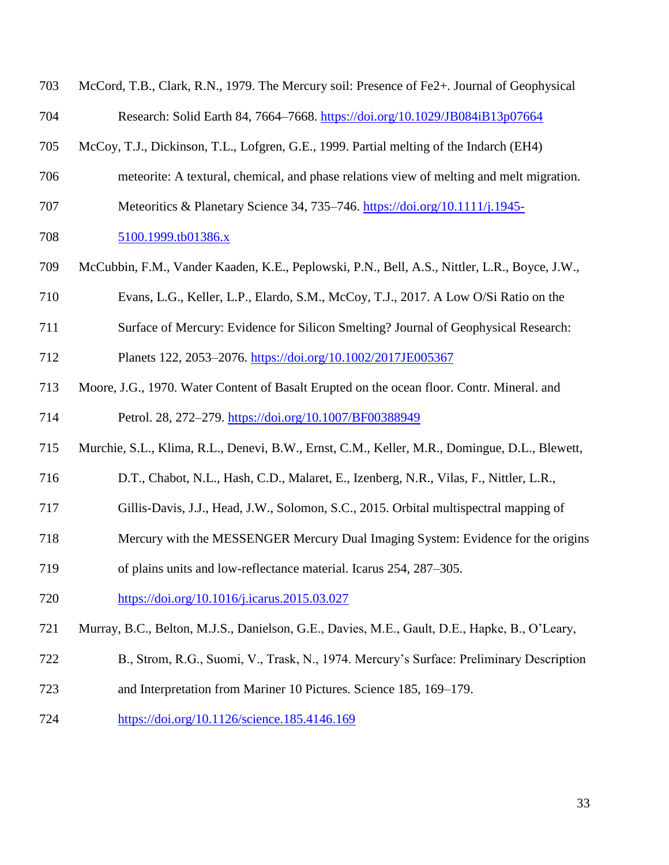| 703 | McCord, T.B., Clark, R.N., 1979. The Mercury soil: Presence of Fe2+. Journal of Geophysical   |
|-----|-----------------------------------------------------------------------------------------------|
| 704 | Research: Solid Earth 84, 7664-7668. https://doi.org/10.1029/JB084iB13p07664                  |
| 705 | McCoy, T.J., Dickinson, T.L., Lofgren, G.E., 1999. Partial melting of the Indarch (EH4)       |
| 706 | meteorite: A textural, chemical, and phase relations view of melting and melt migration.      |
| 707 | Meteoritics & Planetary Science 34, 735–746. https://doi.org/10.1111/j.1945-                  |
| 708 | 5100.1999.tb01386.x                                                                           |
| 709 | McCubbin, F.M., Vander Kaaden, K.E., Peplowski, P.N., Bell, A.S., Nittler, L.R., Boyce, J.W., |
| 710 | Evans, L.G., Keller, L.P., Elardo, S.M., McCoy, T.J., 2017. A Low O/Si Ratio on the           |
| 711 | Surface of Mercury: Evidence for Silicon Smelting? Journal of Geophysical Research:           |
| 712 | Planets 122, 2053-2076. https://doi.org/10.1002/2017JE005367                                  |
| 713 | Moore, J.G., 1970. Water Content of Basalt Erupted on the ocean floor. Contr. Mineral. and    |
| 714 | Petrol. 28, 272-279. https://doi.org/10.1007/BF00388949                                       |
| 715 | Murchie, S.L., Klima, R.L., Denevi, B.W., Ernst, C.M., Keller, M.R., Domingue, D.L., Blewett, |
| 716 | D.T., Chabot, N.L., Hash, C.D., Malaret, E., Izenberg, N.R., Vilas, F., Nittler, L.R.,        |
| 717 | Gillis-Davis, J.J., Head, J.W., Solomon, S.C., 2015. Orbital multispectral mapping of         |
| 718 | Mercury with the MESSENGER Mercury Dual Imaging System: Evidence for the origins              |
| 719 | of plains units and low-reflectance material. Icarus 254, 287–305.                            |
| 720 | https://doi.org/10.1016/j.icarus.2015.03.027                                                  |
| 721 | Murray, B.C., Belton, M.J.S., Danielson, G.E., Davies, M.E., Gault, D.E., Hapke, B., O'Leary, |
| 722 | B., Strom, R.G., Suomi, V., Trask, N., 1974. Mercury's Surface: Preliminary Description       |
| 723 | and Interpretation from Mariner 10 Pictures. Science 185, 169–179.                            |
| 724 | https://doi.org/10.1126/science.185.4146.169                                                  |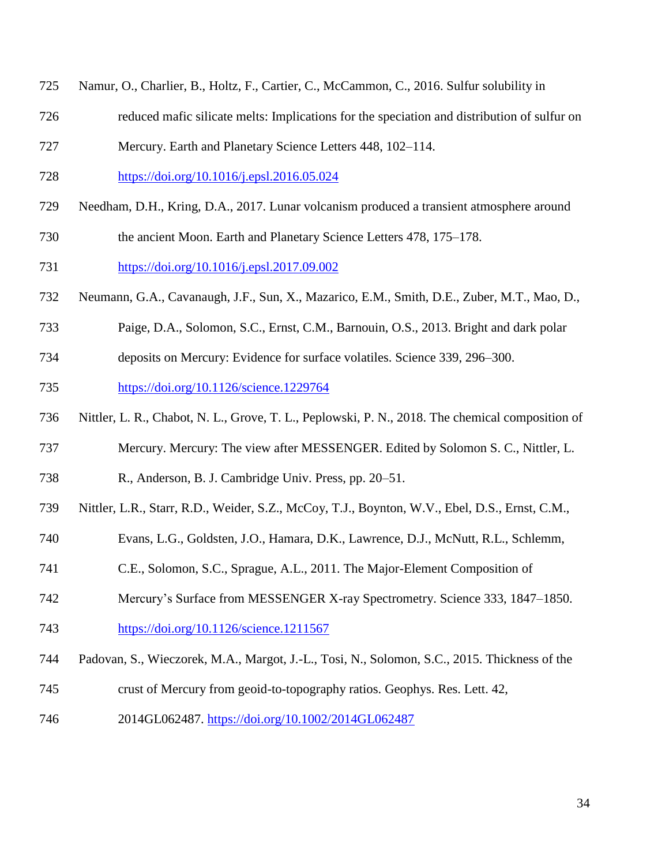- Namur, O., Charlier, B., Holtz, F., Cartier, C., McCammon, C., 2016. Sulfur solubility in
- reduced mafic silicate melts: Implications for the speciation and distribution of sulfur on
- Mercury. Earth and Planetary Science Letters 448, 102–114.
- <https://doi.org/10.1016/j.epsl.2016.05.024>
- Needham, D.H., Kring, D.A., 2017. Lunar volcanism produced a transient atmosphere around
- the ancient Moon. Earth and Planetary Science Letters 478, 175–178.
- <https://doi.org/10.1016/j.epsl.2017.09.002>
- Neumann, G.A., Cavanaugh, J.F., Sun, X., Mazarico, E.M., Smith, D.E., Zuber, M.T., Mao, D.,
- Paige, D.A., Solomon, S.C., Ernst, C.M., Barnouin, O.S., 2013. Bright and dark polar
- deposits on Mercury: Evidence for surface volatiles. Science 339, 296–300.
- <https://doi.org/10.1126/science.1229764>
- Nittler, L. R., Chabot, N. L., Grove, T. L., Peplowski, P. N., 2018. The chemical composition of
- Mercury. Mercury: The view after MESSENGER. Edited by Solomon S. C., Nittler, L.
- R., Anderson, B. J. Cambridge Univ. Press, pp. 20–51.
- Nittler, L.R., Starr, R.D., Weider, S.Z., McCoy, T.J., Boynton, W.V., Ebel, D.S., Ernst, C.M.,
- Evans, L.G., Goldsten, J.O., Hamara, D.K., Lawrence, D.J., McNutt, R.L., Schlemm,
- C.E., Solomon, S.C., Sprague, A.L., 2011. The Major-Element Composition of
- Mercury's Surface from MESSENGER X-ray Spectrometry. Science 333, 1847–1850.
- <https://doi.org/10.1126/science.1211567>
- Padovan, S., Wieczorek, M.A., Margot, J.-L., Tosi, N., Solomon, S.C., 2015. Thickness of the
- crust of Mercury from geoid-to-topography ratios. Geophys. Res. Lett. 42,
- 2014GL062487.<https://doi.org/10.1002/2014GL062487>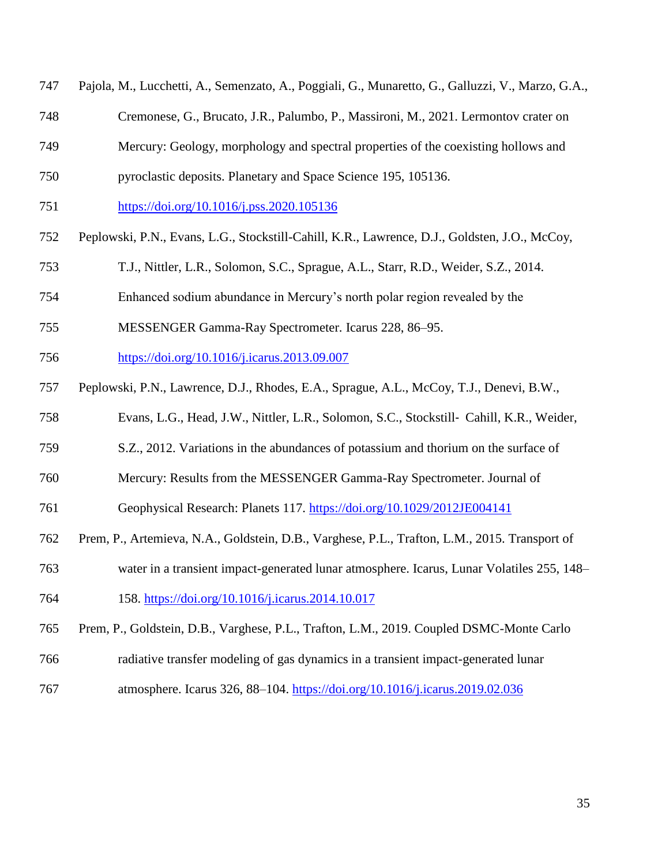| 747 Pajola, M., Lucchetti, A., Semenzato, A., Poggiali, G., Munaretto, G., Galluzzi, V., Marzo, G.A., |  |  |
|-------------------------------------------------------------------------------------------------------|--|--|
|                                                                                                       |  |  |

- Cremonese, G., Brucato, J.R., Palumbo, P., Massironi, M., 2021. Lermontov crater on
- Mercury: Geology, morphology and spectral properties of the coexisting hollows and
- pyroclastic deposits. Planetary and Space Science 195, 105136.
- <https://doi.org/10.1016/j.pss.2020.105136>
- Peplowski, P.N., Evans, L.G., Stockstill-Cahill, K.R., Lawrence, D.J., Goldsten, J.O., McCoy,
- T.J., Nittler, L.R., Solomon, S.C., Sprague, A.L., Starr, R.D., Weider, S.Z., 2014.
- Enhanced sodium abundance in Mercury's north polar region revealed by the
- MESSENGER Gamma-Ray Spectrometer. Icarus 228, 86–95.
- <https://doi.org/10.1016/j.icarus.2013.09.007>
- Peplowski, P.N., Lawrence, D.J., Rhodes, E.A., Sprague, A.L., McCoy, T.J., Denevi, B.W.,
- Evans, L.G., Head, J.W., Nittler, L.R., Solomon, S.C., Stockstill‐ Cahill, K.R., Weider,
- S.Z., 2012. Variations in the abundances of potassium and thorium on the surface of
- Mercury: Results from the MESSENGER Gamma-Ray Spectrometer. Journal of
- Geophysical Research: Planets 117.<https://doi.org/10.1029/2012JE004141>
- Prem, P., Artemieva, N.A., Goldstein, D.B., Varghese, P.L., Trafton, L.M., 2015. Transport of
- water in a transient impact-generated lunar atmosphere. Icarus, Lunar Volatiles 255, 148–
- 158.<https://doi.org/10.1016/j.icarus.2014.10.017>
- Prem, P., Goldstein, D.B., Varghese, P.L., Trafton, L.M., 2019. Coupled DSMC-Monte Carlo
- radiative transfer modeling of gas dynamics in a transient impact-generated lunar
- 767 atmosphere. Icarus 326, 88–104. <https://doi.org/10.1016/j.icarus.2019.02.036>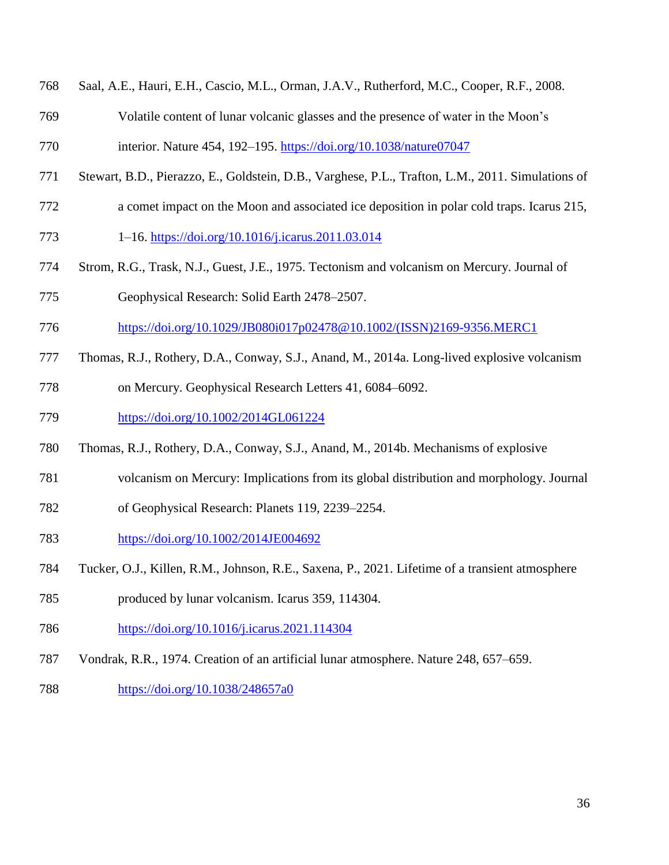|  |  |  |  |  |  |  | 768 Saal, A.E., Hauri, E.H., Cascio, M.L., Orman, J.A.V., Rutherford, M.C., Cooper, R.F., 2008. |
|--|--|--|--|--|--|--|-------------------------------------------------------------------------------------------------|
|--|--|--|--|--|--|--|-------------------------------------------------------------------------------------------------|

Volatile content of lunar volcanic glasses and the presence of water in the Moon's

interior. Nature 454, 192–195.<https://doi.org/10.1038/nature07047>

- Stewart, B.D., Pierazzo, E., Goldstein, D.B., Varghese, P.L., Trafton, L.M., 2011. Simulations of
- a comet impact on the Moon and associated ice deposition in polar cold traps. Icarus 215,
- 1–16.<https://doi.org/10.1016/j.icarus.2011.03.014>
- Strom, R.G., Trask, N.J., Guest, J.E., 1975. Tectonism and volcanism on Mercury. Journal of
- Geophysical Research: Solid Earth 2478–2507.
- [https://doi.org/10.1029/JB080i017p02478@10.1002/\(ISSN\)2169-9356.MERC1](https://doi.org/10.1029/JB080i017p02478@10.1002/(ISSN)2169-9356.MERC1)
- Thomas, R.J., Rothery, D.A., Conway, S.J., Anand, M., 2014a. Long-lived explosive volcanism
- on Mercury. Geophysical Research Letters 41, 6084–6092.
- <https://doi.org/10.1002/2014GL061224>
- Thomas, R.J., Rothery, D.A., Conway, S.J., Anand, M., 2014b. Mechanisms of explosive
- volcanism on Mercury: Implications from its global distribution and morphology. Journal
- of Geophysical Research: Planets 119, 2239–2254.
- <https://doi.org/10.1002/2014JE004692>
- Tucker, O.J., Killen, R.M., Johnson, R.E., Saxena, P., 2021. Lifetime of a transient atmosphere
- produced by lunar volcanism. Icarus 359, 114304.
- <https://doi.org/10.1016/j.icarus.2021.114304>
- Vondrak, R.R., 1974. Creation of an artificial lunar atmosphere. Nature 248, 657–659.
- <https://doi.org/10.1038/248657a0>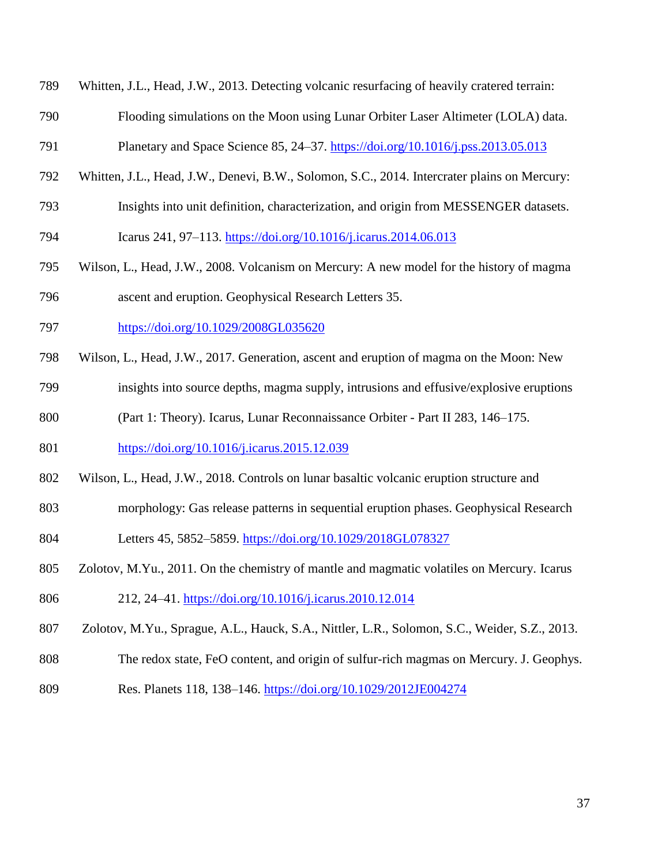- Whitten, J.L., Head, J.W., 2013. Detecting volcanic resurfacing of heavily cratered terrain:
- Flooding simulations on the Moon using Lunar Orbiter Laser Altimeter (LOLA) data.
- Planetary and Space Science 85, 24–37.<https://doi.org/10.1016/j.pss.2013.05.013>
- Whitten, J.L., Head, J.W., Denevi, B.W., Solomon, S.C., 2014. Intercrater plains on Mercury:
- Insights into unit definition, characterization, and origin from MESSENGER datasets.
- Icarus 241, 97–113.<https://doi.org/10.1016/j.icarus.2014.06.013>
- Wilson, L., Head, J.W., 2008. Volcanism on Mercury: A new model for the history of magma ascent and eruption. Geophysical Research Letters 35.
- <https://doi.org/10.1029/2008GL035620>
- Wilson, L., Head, J.W., 2017. Generation, ascent and eruption of magma on the Moon: New
- insights into source depths, magma supply, intrusions and effusive/explosive eruptions
- (Part 1: Theory). Icarus, Lunar Reconnaissance Orbiter Part II 283, 146–175.
- <https://doi.org/10.1016/j.icarus.2015.12.039>
- Wilson, L., Head, J.W., 2018. Controls on lunar basaltic volcanic eruption structure and
- morphology: Gas release patterns in sequential eruption phases. Geophysical Research
- Letters 45, 5852–5859.<https://doi.org/10.1029/2018GL078327>
- Zolotov, M.Yu., 2011. On the chemistry of mantle and magmatic volatiles on Mercury. Icarus
- 212, 24–41.<https://doi.org/10.1016/j.icarus.2010.12.014>
- Zolotov, M.Yu., Sprague, A.L., Hauck, S.A., Nittler, L.R., Solomon, S.C., Weider, S.Z., 2013.
- The redox state, FeO content, and origin of sulfur-rich magmas on Mercury. J. Geophys.
- Res. Planets 118, 138–146.<https://doi.org/10.1029/2012JE004274>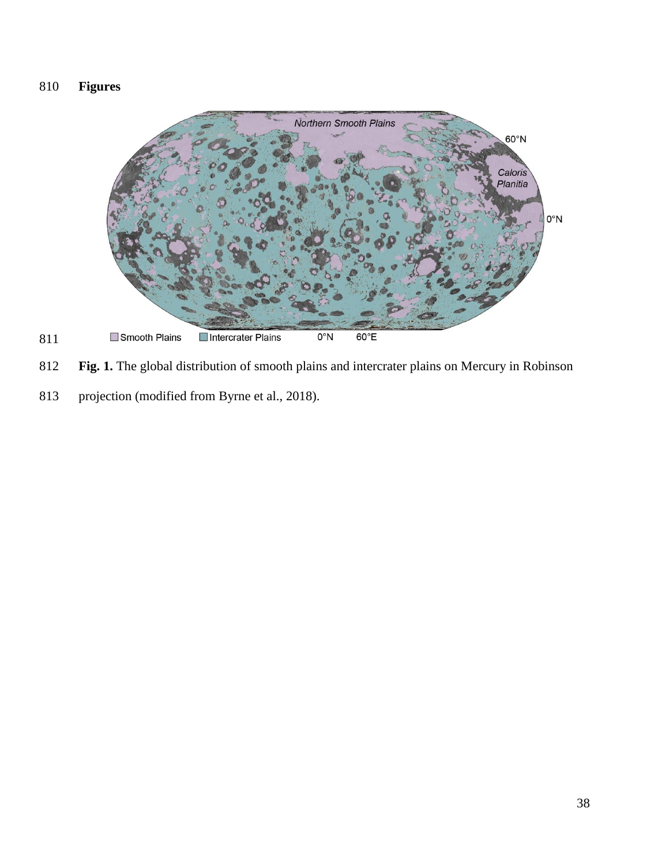# **Figures**



**Fig. 1.** The global distribution of smooth plains and intercrater plains on Mercury in Robinson

projection (modified from Byrne et al., 2018).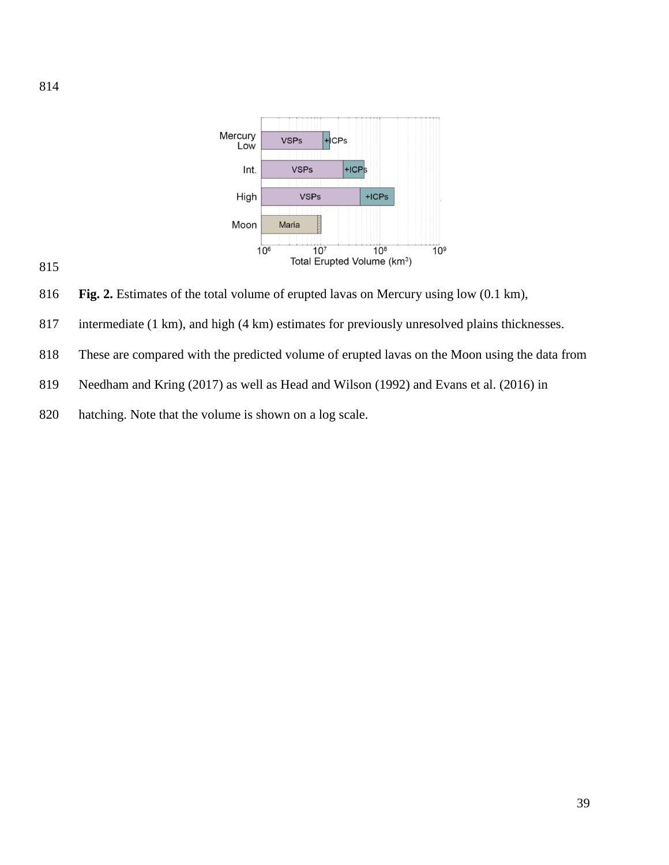



**Fig. 2.** Estimates of the total volume of erupted lavas on Mercury using low (0.1 km),

- intermediate (1 km), and high (4 km) estimates for previously unresolved plains thicknesses.
- These are compared with the predicted volume of erupted lavas on the Moon using the data from
- Needham and Kring (2017) as well as Head and Wilson (1992) and Evans et al. (2016) in
- hatching. Note that the volume is shown on a log scale.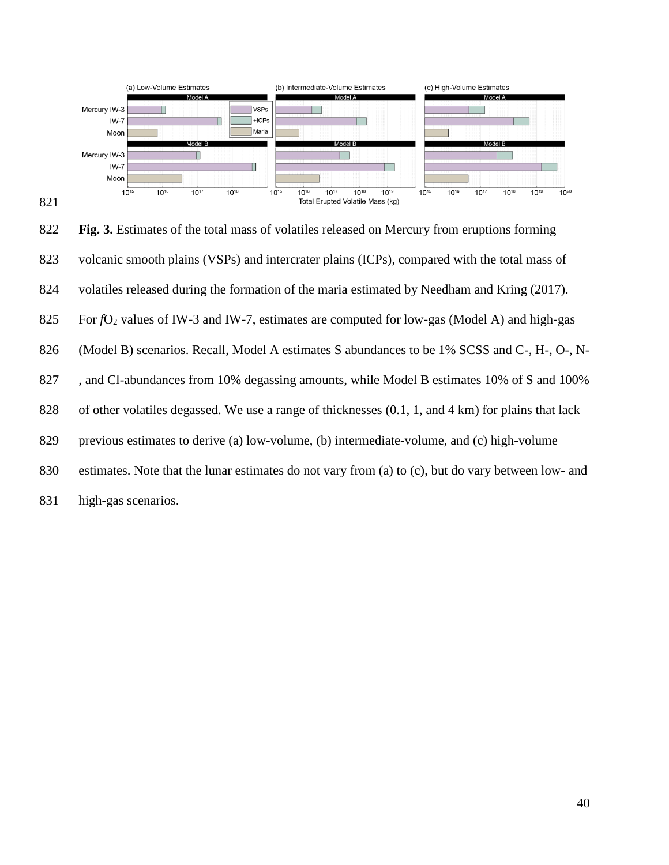

 **Fig. 3.** Estimates of the total mass of volatiles released on Mercury from eruptions forming volcanic smooth plains (VSPs) and intercrater plains (ICPs), compared with the total mass of volatiles released during the formation of the maria estimated by Needham and Kring (2017). 825 For *f*O<sub>2</sub> values of IW-3 and IW-7, estimates are computed for low-gas (Model A) and high-gas (Model B) scenarios. Recall, Model A estimates S abundances to be 1% SCSS and C-, H-, O-, N-827 , and Cl-abundances from 10% degassing amounts, while Model B estimates 10% of S and 100% of other volatiles degassed. We use a range of thicknesses (0.1, 1, and 4 km) for plains that lack previous estimates to derive (a) low-volume, (b) intermediate-volume, and (c) high-volume estimates. Note that the lunar estimates do not vary from (a) to (c), but do vary between low- and high-gas scenarios.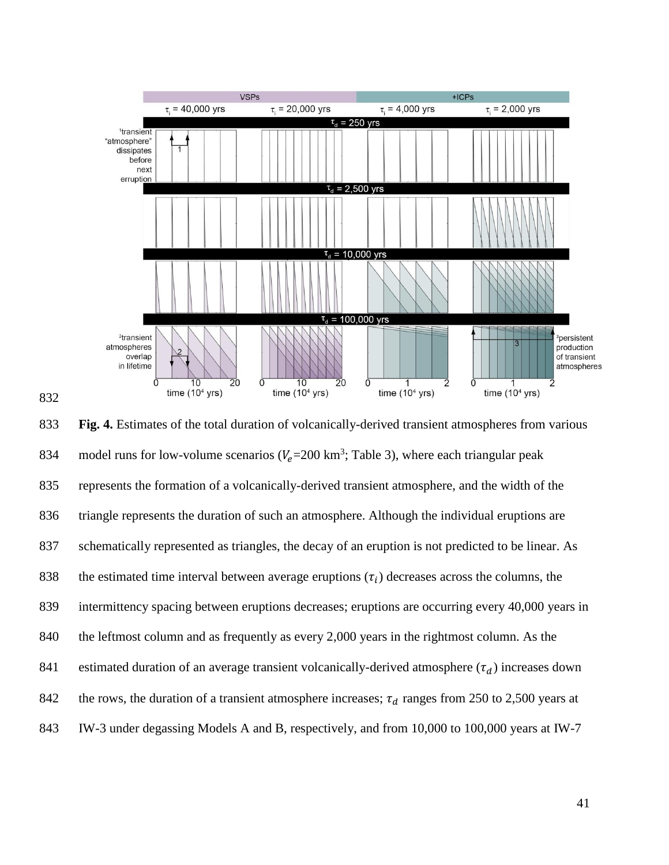

 **Fig. 4.** Estimates of the total duration of volcanically-derived transient atmospheres from various 834 model runs for low-volume scenarios ( $V_e$ =200 km<sup>3</sup>; Table 3), where each triangular peak represents the formation of a volcanically-derived transient atmosphere, and the width of the triangle represents the duration of such an atmosphere. Although the individual eruptions are schematically represented as triangles, the decay of an eruption is not predicted to be linear. As 838 the estimated time interval between average eruptions  $(\tau_i)$  decreases across the columns, the intermittency spacing between eruptions decreases; eruptions are occurring every 40,000 years in 840 the leftmost column and as frequently as every 2,000 years in the rightmost column. As the 841 estimated duration of an average transient volcanically-derived atmosphere  $(\tau_d)$  increases down 842 the rows, the duration of a transient atmosphere increases;  $\tau_d$  ranges from 250 to 2,500 years at IW-3 under degassing Models A and B, respectively, and from 10,000 to 100,000 years at IW-7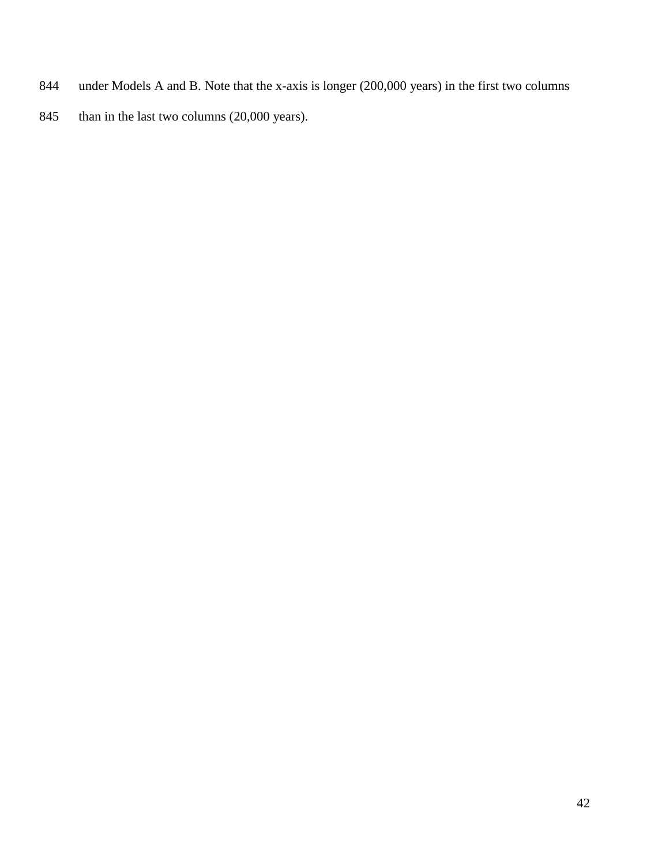- under Models A and B. Note that the x-axis is longer (200,000 years) in the first two columns
- 845 than in the last two columns (20,000 years).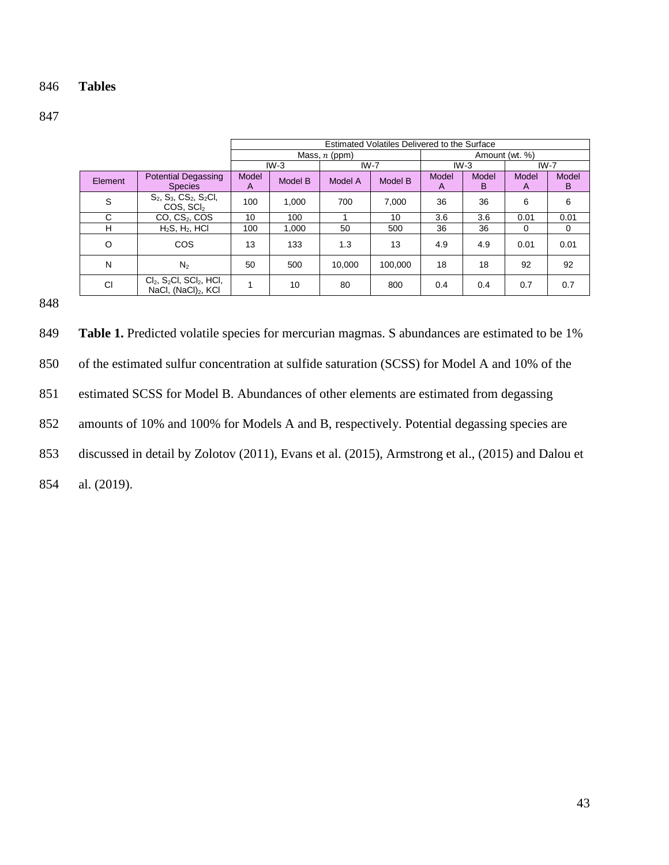### 846 **Tables**

847

|           |                                                                                       | Estimated Volatiles Delivered to the Surface |        |                 |                |            |            |            |            |  |  |
|-----------|---------------------------------------------------------------------------------------|----------------------------------------------|--------|-----------------|----------------|------------|------------|------------|------------|--|--|
|           |                                                                                       |                                              |        | Mass, $n$ (ppm) | Amount (wt. %) |            |            |            |            |  |  |
|           |                                                                                       |                                              | $IW-3$ | $IW-7$          |                | $IW-3$     |            | $IW-7$     |            |  |  |
| Element   | <b>Potential Degassing</b><br><b>Species</b>                                          | Model<br>Model B<br>A                        |        | Model A         | Model B        | Model<br>A | Model<br>B | Model<br>A | Model<br>B |  |  |
| S         | $S_2$ , $S_3$ , $CS_2$ , $S_2$ Cl,<br>COS, SCI <sub>2</sub>                           | 100                                          | 1,000  | 700             | 7,000          | 36         | 36         | 6          | 6          |  |  |
| C         | CO, CS <sub>2</sub> , COS                                                             | 10<br>100                                    |        |                 | 10             | 3.6        | 3.6        | 0.01       | 0.01       |  |  |
| н         | $H_2S$ , $H_2$ , HCl                                                                  | 100<br>1.000                                 |        | 50              | 500            | 36         | 36         | $\Omega$   | 0          |  |  |
| O         | COS                                                                                   | 13                                           | 133    | 1.3             | 13             | 4.9        | 4.9        | 0.01       | 0.01       |  |  |
| N         | $N_{2}$                                                                               | 50                                           | 500    | 10.000          | 100.000        | 18         | 18         | 92         | 92         |  |  |
| <b>CI</b> | $Cl2$ , S <sub>2</sub> Cl, SCl <sub>2</sub> , HCl,<br>NaCl, (NaCl) <sub>2</sub> , KCl | 1                                            | 10     | 80              | 800            | 0.4        | 0.4        | 0.7        | 0.7        |  |  |

848

849 Table 1. Predicted volatile species for mercurian magmas. S abundances are estimated to be 1% of the estimated sulfur concentration at sulfide saturation (SCSS) for Model A and 10% of the estimated SCSS for Model B. Abundances of other elements are estimated from degassing amounts of 10% and 100% for Models A and B, respectively. Potential degassing species are discussed in detail by Zolotov (2011), Evans et al. (2015), Armstrong et al., (2015) and Dalou et al. (2019).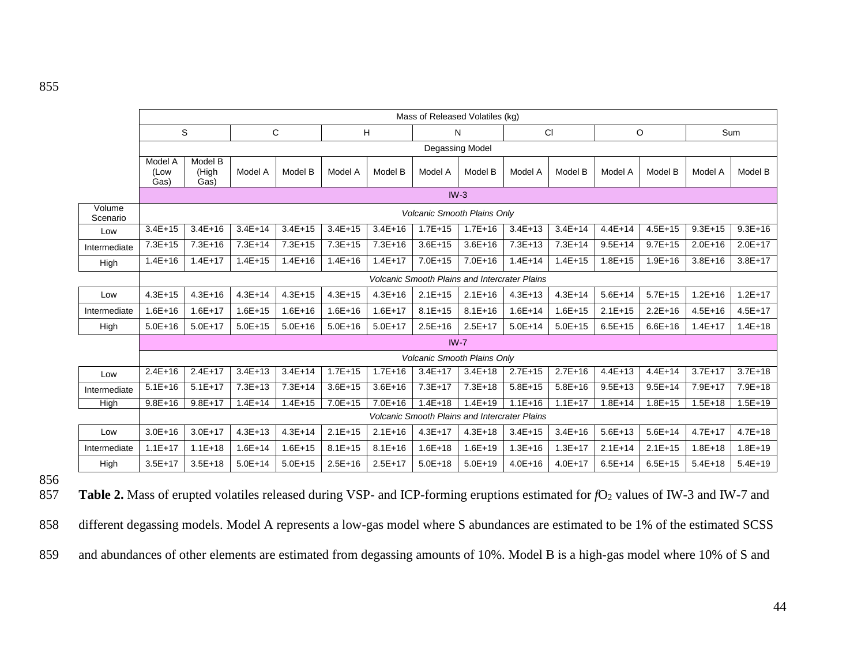|                    | Mass of Released Volatiles (kg)    |                          |             |             |             |             |                 |                                                      |             |             |             |             |             |             |
|--------------------|------------------------------------|--------------------------|-------------|-------------|-------------|-------------|-----------------|------------------------------------------------------|-------------|-------------|-------------|-------------|-------------|-------------|
|                    | S<br>C                             |                          |             | H           |             | N           |                 | <b>CI</b>                                            |             | O           |             | Sum         |             |             |
|                    | Degassing Model                    |                          |             |             |             |             |                 |                                                      |             |             |             |             |             |             |
|                    | Model A<br>(Low<br>Gas)            | Model B<br>(High<br>Gas) | Model A     | Model B     | Model A     | Model B     | Model A         | Model B                                              | Model A     | Model B     | Model A     | Model B     | Model A     | Model B     |
|                    |                                    |                          |             |             |             |             | $IW-3$          |                                                      |             |             |             |             |             |             |
| Volume<br>Scenario | <b>Volcanic Smooth Plains Only</b> |                          |             |             |             |             |                 |                                                      |             |             |             |             |             |             |
| Low                | $3.4E+15$                          | $3.4E + 16$              | $3.4E + 14$ | $3.4E + 15$ | $3.4E + 15$ | $3.4E + 16$ | $1.7E + 15$     | $1.7E + 16$                                          | $3.4E+13$   | $3.4E + 14$ | $4.4E + 14$ | $4.5E + 15$ | $9.3E + 15$ | $9.3E + 16$ |
| Intermediate       | $7.3E + 15$                        | $7.3E + 16$              | $7.3E + 14$ | $7.3E + 15$ | $7.3E + 15$ | $7.3E + 16$ | $3.6E + 15$     | $3.6E + 16$                                          | $7.3E + 13$ | $7.3E + 14$ | $9.5E + 14$ | $9.7E + 15$ | $2.0E + 16$ | $2.0E + 17$ |
| High               | $1.4E + 16$                        | $1.4E + 17$              | $1.4E + 15$ | $1.4E + 16$ | $1.4E + 16$ | $1.4E + 17$ | $7.0E + 15$     | $7.0E + 16$                                          | $1.4E + 14$ | $1.4E + 15$ | $1.8E + 15$ | $1.9E + 16$ | $3.8E + 16$ | $3.8E+17$   |
|                    |                                    |                          |             |             |             |             |                 | <b>Volcanic Smooth Plains and Intercrater Plains</b> |             |             |             |             |             |             |
| Low                | $4.3E + 15$                        | $4.3E + 16$              | $4.3E + 14$ | $4.3E + 15$ | $4.3E + 15$ | $4.3E + 16$ | $2.1E + 15$     | $2.1E+16$                                            | $4.3E + 13$ | $4.3E + 14$ | $5.6E + 14$ | $5.7E + 15$ | $1.2E + 16$ | $1.2E + 17$ |
| Intermediate       | $1.6E + 16$                        | $1.6E + 17$              | $1.6E + 15$ | $1.6E + 16$ | $1.6E + 16$ | $1.6E + 17$ | $8.1E + 15$     | $8.1E + 16$                                          | $1.6E + 14$ | $1.6E + 15$ | $2.1E+15$   | $2.2E+16$   | $4.5E + 16$ | $4.5E + 17$ |
| High               | $5.0E + 16$                        | $5.0E + 17$              | $5.0E + 15$ | $5.0E + 16$ | $5.0E + 16$ | $5.0E + 17$ | $2.5E+16$       | $2.5E+17$                                            | $5.0E + 14$ | $5.0E + 15$ | $6.5E+15$   | $6.6E + 16$ | $1.4E + 17$ | $1.4E + 18$ |
|                    |                                    |                          |             |             |             |             | IW <sub>7</sub> |                                                      |             |             |             |             |             |             |
|                    |                                    |                          |             |             |             |             |                 | Volcanic Smooth Plains Only                          |             |             |             |             |             |             |
| Low                | $2.4E+16$                          | $2.4E+17$                | $3.4E + 13$ | $3.4E + 14$ | $1.7E + 15$ | $1.7E + 16$ | $3.4E + 17$     | $3.4E + 18$                                          | $2.7E+15$   | $2.7E+16$   | $4.4E + 13$ | $4.4E + 14$ | $3.7E + 17$ | $3.7E + 18$ |
| Intermediate       | $5.1E + 16$                        | $5.1E+17$                | $7.3E + 13$ | $7.3E + 14$ | $3.6E + 15$ | $3.6E + 16$ | $7.3E+17$       | $7.3E + 18$                                          | $5.8E + 15$ | $5.8E + 16$ | $9.5E + 13$ | $9.5E + 14$ | $7.9E + 17$ | 7.9E+18     |
| High               | $9.8E + 16$                        | $9.8E+17$                | $1.4E + 14$ | $1.4E + 15$ | $7.0E + 15$ | $7.0E + 16$ | $1.4E + 18$     | $1.4E + 19$                                          | $1.1E + 16$ | $1.1E + 17$ | $1.8E + 14$ | $1.8E + 15$ | $1.5E + 18$ | $1.5E + 19$ |
|                    |                                    |                          |             |             |             |             |                 | <b>Volcanic Smooth Plains and Intercrater Plains</b> |             |             |             |             |             |             |
| Low                | $3.0E + 16$                        | $3.0E + 17$              | $4.3E + 13$ | $4.3E + 14$ | $2.1E+15$   | $2.1E+16$   | $4.3E + 17$     | $4.3E + 18$                                          | $3.4E+15$   | $3.4E + 16$ | $5.6E+13$   | $5.6E + 14$ | $4.7E + 17$ | $4.7E + 18$ |
| Intermediate       | $1.1E + 17$                        | $1.1E + 18$              | $1.6E + 14$ | $1.6E + 15$ | $8.1E + 15$ | $8.1E + 16$ | $1.6E + 18$     | $1.6E + 19$                                          | $1.3E + 16$ | $1.3E + 17$ | $2.1E+14$   | $2.1E+15$   | $1.8E + 18$ | $1.8E + 19$ |
| High               | $3.5E+17$                          | $3.5E + 18$              | $5.0E + 14$ | $5.0E + 15$ | $2.5E+16$   | $2.5E+17$   | $5.0E + 18$     | $5.0E + 19$                                          | $4.0E + 16$ | $4.0E + 17$ | $6.5E + 14$ | $6.5E + 15$ | $5.4E+18$   | $5.4E + 19$ |

856

857 Table 2. Mass of erupted volatiles released during VSP- and ICP-forming eruptions estimated for *f*O<sub>2</sub> values of IW-3 and IW-7 and

858 different degassing models. Model A represents a low-gas model where S abundances are estimated to be 1% of the estimated SCSS

859 and abundances of other elements are estimated from degassing amounts of 10%. Model B is a high-gas model where 10% of S and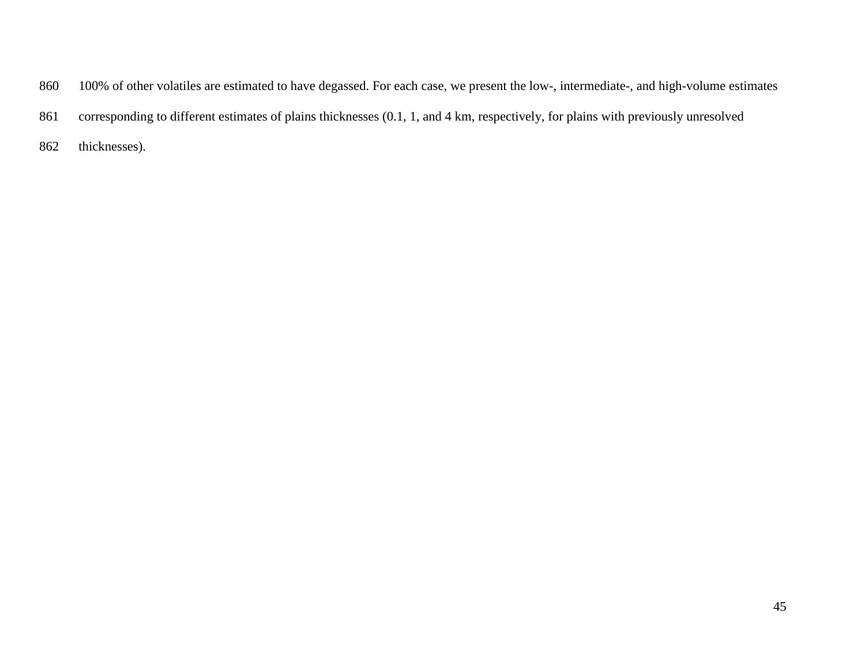- 100% of other volatiles are estimated to have degassed. For each case, we present the low-, intermediate-, and high-volume estimates
- corresponding to different estimates of plains thicknesses (0.1, 1, and 4 km, respectively, for plains with previously unresolved
- thicknesses).